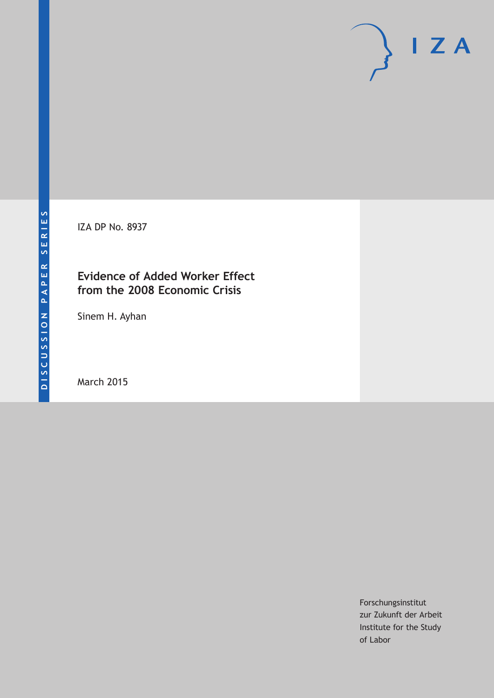IZA DP No. 8937

# **Evidence of Added Worker Effect from the 2008 Economic Crisis**

Sinem H. Ayhan

March 2015

Forschungsinstitut zur Zukunft der Arbeit Institute for the Study of Labor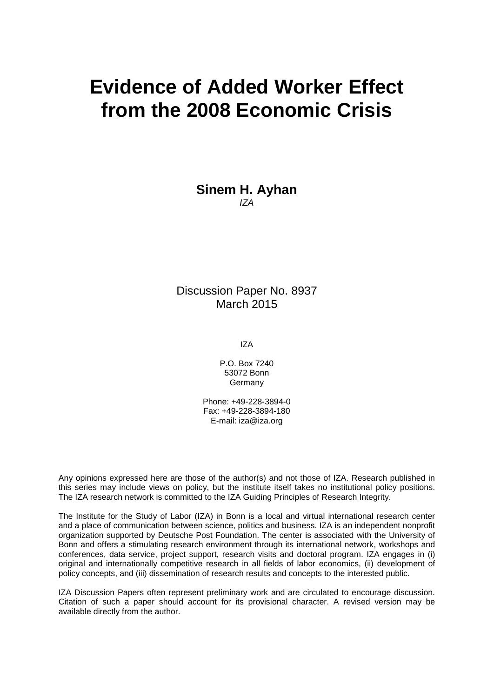# **Evidence of Added Worker Effect from the 2008 Economic Crisis**

**Sinem H. Ayhan** *IZA*

Discussion Paper No. 8937 March 2015

IZA

P.O. Box 7240 53072 Bonn Germany

Phone: +49-228-3894-0 Fax: +49-228-3894-180 E-mail: iza@iza.org

Any opinions expressed here are those of the author(s) and not those of IZA. Research published in this series may include views on policy, but the institute itself takes no institutional policy positions. The IZA research network is committed to the IZA Guiding Principles of Research Integrity.

The Institute for the Study of Labor (IZA) in Bonn is a local and virtual international research center and a place of communication between science, politics and business. IZA is an independent nonprofit organization supported by Deutsche Post Foundation. The center is associated with the University of Bonn and offers a stimulating research environment through its international network, workshops and conferences, data service, project support, research visits and doctoral program. IZA engages in (i) original and internationally competitive research in all fields of labor economics, (ii) development of policy concepts, and (iii) dissemination of research results and concepts to the interested public.

<span id="page-1-0"></span>IZA Discussion Papers often represent preliminary work and are circulated to encourage discussion. Citation of such a paper should account for its provisional character. A revised version may be available directly from the author.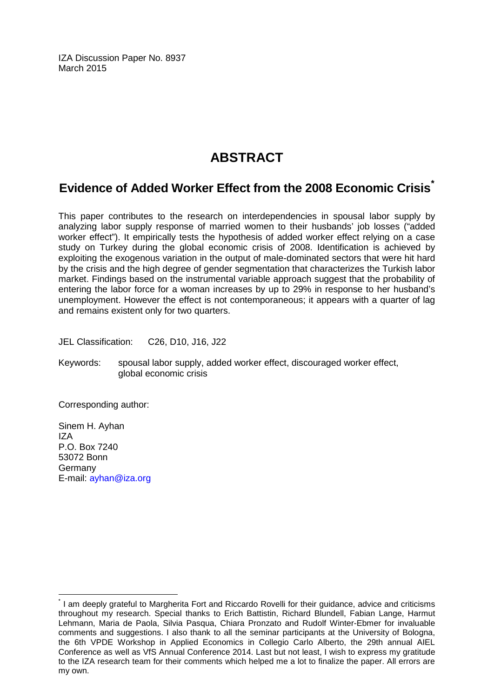IZA Discussion Paper No. 8937 March 2015

# **ABSTRACT**

# **Evidence of Added Worker Effect from the 2008 Economic Crisis[\\*](#page-1-0)**

This paper contributes to the research on interdependencies in spousal labor supply by analyzing labor supply response of married women to their husbands' job losses ("added worker effect"). It empirically tests the hypothesis of added worker effect relying on a case study on Turkey during the global economic crisis of 2008. Identification is achieved by exploiting the exogenous variation in the output of male-dominated sectors that were hit hard by the crisis and the high degree of gender segmentation that characterizes the Turkish labor market. Findings based on the instrumental variable approach suggest that the probability of entering the labor force for a woman increases by up to 29% in response to her husband's unemployment. However the effect is not contemporaneous; it appears with a quarter of lag and remains existent only for two quarters.

JEL Classification: C26, D10, J16, J22

Keywords: spousal labor supply, added worker effect, discouraged worker effect, global economic crisis

Corresponding author:

Sinem H. Ayhan IZA P.O. Box 7240 53072 Bonn Germany E-mail: [ayhan@iza.org](mailto:ayhan@iza.org)

I am deeply grateful to Margherita Fort and Riccardo Rovelli for their guidance, advice and criticisms throughout my research. Special thanks to Erich Battistin, Richard Blundell, Fabian Lange, Harmut Lehmann, Maria de Paola, Silvia Pasqua, Chiara Pronzato and Rudolf Winter-Ebmer for invaluable comments and suggestions. I also thank to all the seminar participants at the University of Bologna, the 6th VPDE Workshop in Applied Economics in Collegio Carlo Alberto, the 29th annual AIEL Conference as well as VfS Annual Conference 2014. Last but not least, I wish to express my gratitude to the IZA research team for their comments which helped me a lot to finalize the paper. All errors are my own.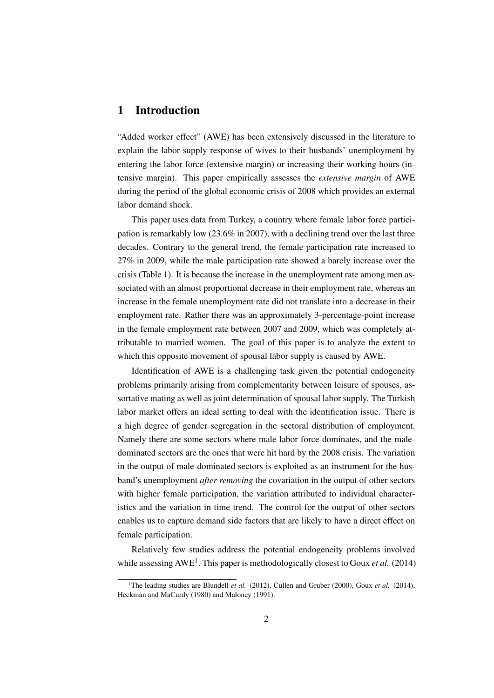#### 1 Introduction

"Added worker effect" (AWE) has been extensively discussed in the literature to explain the labor supply response of wives to their husbands' unemployment by entering the labor force (extensive margin) or increasing their working hours (intensive margin). This paper empirically assesses the *extensive margin* of AWE during the period of the global economic crisis of 2008 which provides an external labor demand shock.

This paper uses data from Turkey, a country where female labor force participation is remarkably low (23.6% in 2007), with a declining trend over the last three decades. Contrary to the general trend, the female participation rate increased to 27% in 2009, while the male participation rate showed a barely increase over the crisis (Table 1). It is because the increase in the unemployment rate among men associated with an almost proportional decrease in their employment rate, whereas an increase in the female unemployment rate did not translate into a decrease in their employment rate. Rather there was an approximately 3-percentage-point increase in the female employment rate between 2007 and 2009, which was completely attributable to married women. The goal of this paper is to analyze the extent to which this opposite movement of spousal labor supply is caused by AWE.

Identification of AWE is a challenging task given the potential endogeneity problems primarily arising from complementarity between leisure of spouses, assortative mating as well as joint determination of spousal labor supply. The Turkish labor market offers an ideal setting to deal with the identification issue. There is a high degree of gender segregation in the sectoral distribution of employment. Namely there are some sectors where male labor force dominates, and the maledominated sectors are the ones that were hit hard by the 2008 crisis. The variation in the output of male-dominated sectors is exploited as an instrument for the husband's unemployment *after removing* the covariation in the output of other sectors with higher female participation, the variation attributed to individual characteristics and the variation in time trend. The control for the output of other sectors enables us to capture demand side factors that are likely to have a direct effect on female participation.

Relatively few studies address the potential endogeneity problems involved while assessing AWE<sup>1</sup>. This paper is methodologically closest to Goux *et al.* (2014)

<sup>&</sup>lt;sup>1</sup>The leading studies are Blundell *et al.* (2012), Cullen and Gruber (2000), Goux *et al.* (2014), Heckman and MaCurdy (1980) and Maloney (1991).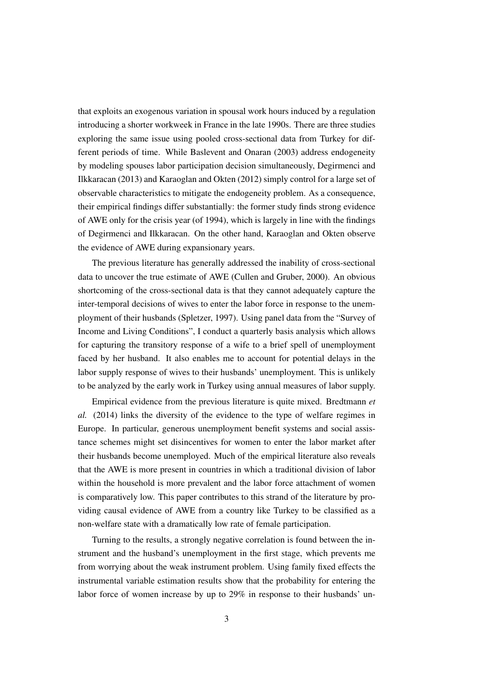that exploits an exogenous variation in spousal work hours induced by a regulation introducing a shorter workweek in France in the late 1990s. There are three studies exploring the same issue using pooled cross-sectional data from Turkey for different periods of time. While Baslevent and Onaran (2003) address endogeneity by modeling spouses labor participation decision simultaneously, Degirmenci and Ilkkaracan (2013) and Karaoglan and Okten (2012) simply control for a large set of observable characteristics to mitigate the endogeneity problem. As a consequence, their empirical findings differ substantially: the former study finds strong evidence of AWE only for the crisis year (of 1994), which is largely in line with the findings of Degirmenci and Ilkkaracan. On the other hand, Karaoglan and Okten observe the evidence of AWE during expansionary years.

The previous literature has generally addressed the inability of cross-sectional data to uncover the true estimate of AWE (Cullen and Gruber, 2000). An obvious shortcoming of the cross-sectional data is that they cannot adequately capture the inter-temporal decisions of wives to enter the labor force in response to the unemployment of their husbands (Spletzer, 1997). Using panel data from the "Survey of Income and Living Conditions", I conduct a quarterly basis analysis which allows for capturing the transitory response of a wife to a brief spell of unemployment faced by her husband. It also enables me to account for potential delays in the labor supply response of wives to their husbands' unemployment. This is unlikely to be analyzed by the early work in Turkey using annual measures of labor supply.

Empirical evidence from the previous literature is quite mixed. Bredtmann *et al.* (2014) links the diversity of the evidence to the type of welfare regimes in Europe. In particular, generous unemployment benefit systems and social assistance schemes might set disincentives for women to enter the labor market after their husbands become unemployed. Much of the empirical literature also reveals that the AWE is more present in countries in which a traditional division of labor within the household is more prevalent and the labor force attachment of women is comparatively low. This paper contributes to this strand of the literature by providing causal evidence of AWE from a country like Turkey to be classified as a non-welfare state with a dramatically low rate of female participation.

Turning to the results, a strongly negative correlation is found between the instrument and the husband's unemployment in the first stage, which prevents me from worrying about the weak instrument problem. Using family fixed effects the instrumental variable estimation results show that the probability for entering the labor force of women increase by up to 29% in response to their husbands' un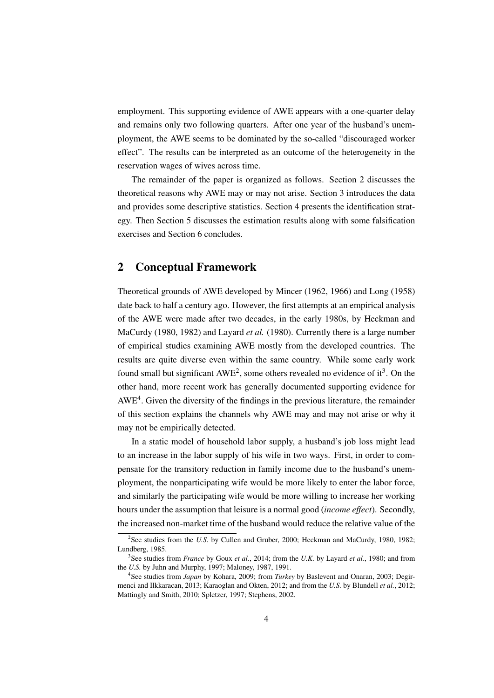employment. This supporting evidence of AWE appears with a one-quarter delay and remains only two following quarters. After one year of the husband's unemployment, the AWE seems to be dominated by the so-called "discouraged worker effect". The results can be interpreted as an outcome of the heterogeneity in the reservation wages of wives across time.

The remainder of the paper is organized as follows. Section 2 discusses the theoretical reasons why AWE may or may not arise. Section 3 introduces the data and provides some descriptive statistics. Section 4 presents the identification strategy. Then Section 5 discusses the estimation results along with some falsification exercises and Section 6 concludes.

### 2 Conceptual Framework

Theoretical grounds of AWE developed by Mincer (1962, 1966) and Long (1958) date back to half a century ago. However, the first attempts at an empirical analysis of the AWE were made after two decades, in the early 1980s, by Heckman and MaCurdy (1980, 1982) and Layard *et al.* (1980). Currently there is a large number of empirical studies examining AWE mostly from the developed countries. The results are quite diverse even within the same country. While some early work found small but significant  $AWE^2$ , some others revealed no evidence of it<sup>3</sup>. On the other hand, more recent work has generally documented supporting evidence for AWE<sup>4</sup>. Given the diversity of the findings in the previous literature, the remainder of this section explains the channels why AWE may and may not arise or why it may not be empirically detected.

In a static model of household labor supply, a husband's job loss might lead to an increase in the labor supply of his wife in two ways. First, in order to compensate for the transitory reduction in family income due to the husband's unemployment, the nonparticipating wife would be more likely to enter the labor force, and similarly the participating wife would be more willing to increase her working hours under the assumption that leisure is a normal good (*income effect*). Secondly, the increased non-market time of the husband would reduce the relative value of the

<sup>&</sup>lt;sup>2</sup>See studies from the *U.S.* by Cullen and Gruber, 2000; Heckman and MaCurdy, 1980, 1982; Lundberg, 1985.

<sup>3</sup> See studies from *France* by Goux *et al.*, 2014; from the *U.K.* by Layard *et al.*, 1980; and from the *U.S.* by Juhn and Murphy, 1997; Maloney, 1987, 1991.

<sup>4</sup> See studies from *Japan* by Kohara, 2009; from *Turkey* by Baslevent and Onaran, 2003; Degirmenci and Ilkkaracan, 2013; Karaoglan and Okten, 2012; and from the *U.S.* by Blundell *et al.*, 2012; Mattingly and Smith, 2010; Spletzer, 1997; Stephens, 2002.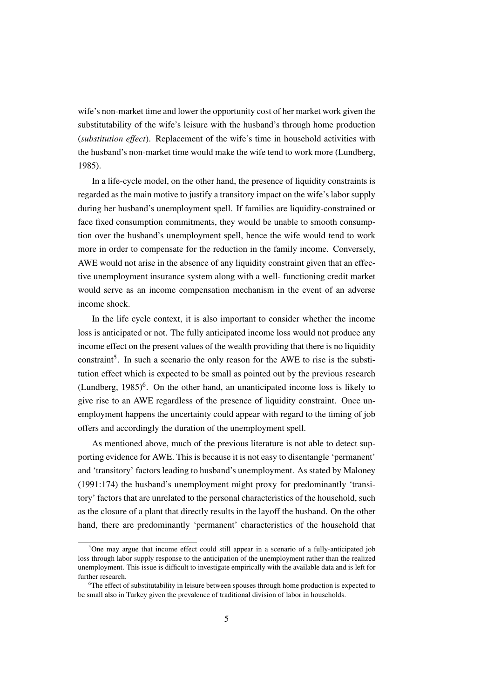wife's non-market time and lower the opportunity cost of her market work given the substitutability of the wife's leisure with the husband's through home production (*substitution effect*). Replacement of the wife's time in household activities with the husband's non-market time would make the wife tend to work more (Lundberg, 1985).

In a life-cycle model, on the other hand, the presence of liquidity constraints is regarded as the main motive to justify a transitory impact on the wife's labor supply during her husband's unemployment spell. If families are liquidity-constrained or face fixed consumption commitments, they would be unable to smooth consumption over the husband's unemployment spell, hence the wife would tend to work more in order to compensate for the reduction in the family income. Conversely, AWE would not arise in the absence of any liquidity constraint given that an effective unemployment insurance system along with a well- functioning credit market would serve as an income compensation mechanism in the event of an adverse income shock.

In the life cycle context, it is also important to consider whether the income loss is anticipated or not. The fully anticipated income loss would not produce any income effect on the present values of the wealth providing that there is no liquidity constraint<sup>5</sup>. In such a scenario the only reason for the AWE to rise is the substitution effect which is expected to be small as pointed out by the previous research (Lundberg,  $1985$ <sup>6</sup>. On the other hand, an unanticipated income loss is likely to give rise to an AWE regardless of the presence of liquidity constraint. Once unemployment happens the uncertainty could appear with regard to the timing of job offers and accordingly the duration of the unemployment spell.

As mentioned above, much of the previous literature is not able to detect supporting evidence for AWE. This is because it is not easy to disentangle 'permanent' and 'transitory' factors leading to husband's unemployment. As stated by Maloney (1991:174) the husband's unemployment might proxy for predominantly 'transitory' factors that are unrelated to the personal characteristics of the household, such as the closure of a plant that directly results in the layoff the husband. On the other hand, there are predominantly 'permanent' characteristics of the household that

 $5$ One may argue that income effect could still appear in a scenario of a fully-anticipated job loss through labor supply response to the anticipation of the unemployment rather than the realized unemployment. This issue is difficult to investigate empirically with the available data and is left for further research.

<sup>&</sup>lt;sup>6</sup>The effect of substitutability in leisure between spouses through home production is expected to be small also in Turkey given the prevalence of traditional division of labor in households.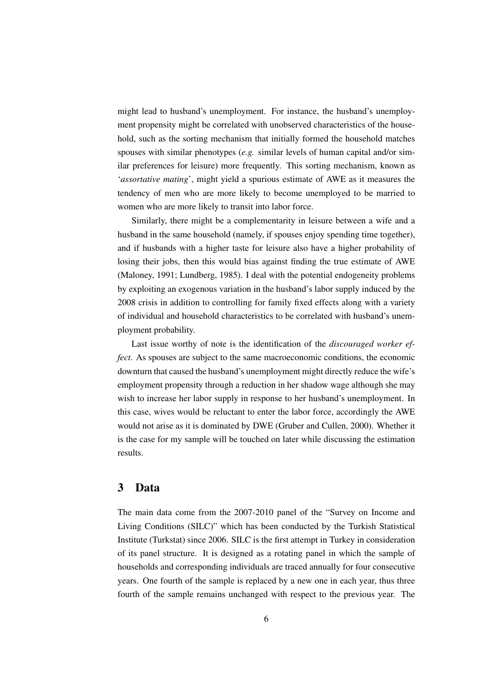might lead to husband's unemployment. For instance, the husband's unemployment propensity might be correlated with unobserved characteristics of the household, such as the sorting mechanism that initially formed the household matches spouses with similar phenotypes (*e.g.* similar levels of human capital and/or similar preferences for leisure) more frequently. This sorting mechanism, known as '*assortative mating*', might yield a spurious estimate of AWE as it measures the tendency of men who are more likely to become unemployed to be married to women who are more likely to transit into labor force.

Similarly, there might be a complementarity in leisure between a wife and a husband in the same household (namely, if spouses enjoy spending time together), and if husbands with a higher taste for leisure also have a higher probability of losing their jobs, then this would bias against finding the true estimate of AWE (Maloney, 1991; Lundberg, 1985). I deal with the potential endogeneity problems by exploiting an exogenous variation in the husband's labor supply induced by the 2008 crisis in addition to controlling for family fixed effects along with a variety of individual and household characteristics to be correlated with husband's unemployment probability.

Last issue worthy of note is the identification of the *discouraged worker effect*. As spouses are subject to the same macroeconomic conditions, the economic downturn that caused the husband's unemployment might directly reduce the wife's employment propensity through a reduction in her shadow wage although she may wish to increase her labor supply in response to her husband's unemployment. In this case, wives would be reluctant to enter the labor force, accordingly the AWE would not arise as it is dominated by DWE (Gruber and Cullen, 2000). Whether it is the case for my sample will be touched on later while discussing the estimation results.

### 3 Data

The main data come from the 2007-2010 panel of the "Survey on Income and Living Conditions (SILC)" which has been conducted by the Turkish Statistical Institute (Turkstat) since 2006. SILC is the first attempt in Turkey in consideration of its panel structure. It is designed as a rotating panel in which the sample of households and corresponding individuals are traced annually for four consecutive years. One fourth of the sample is replaced by a new one in each year, thus three fourth of the sample remains unchanged with respect to the previous year. The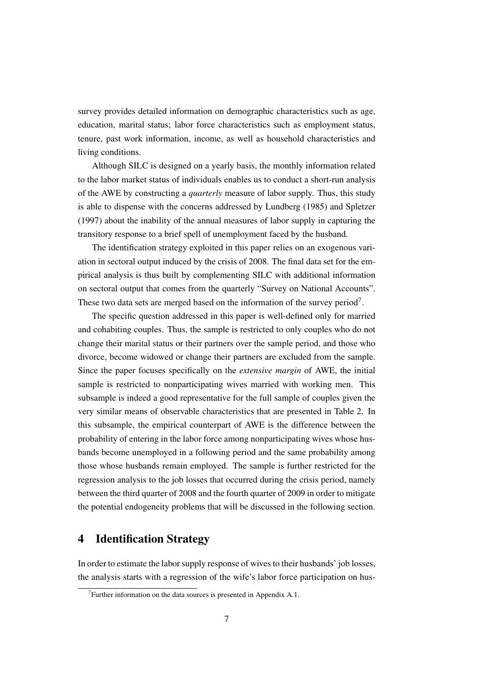survey provides detailed information on demographic characteristics such as age, education, marital status; labor force characteristics such as employment status, tenure, past work information, income, as well as household characteristics and living conditions.

Although SILC is designed on a yearly basis, the monthly information related to the labor market status of individuals enables us to conduct a short-run analysis of the AWE by constructing a *quarterly* measure of labor supply. Thus, this study is able to dispense with the concerns addressed by Lundberg (1985) and Spletzer (1997) about the inability of the annual measures of labor supply in capturing the transitory response to a brief spell of unemployment faced by the husband.

The identification strategy exploited in this paper relies on an exogenous variation in sectoral output induced by the crisis of 2008. The final data set for the empirical analysis is thus built by complementing SILC with additional information on sectoral output that comes from the quarterly "Survey on National Accounts". These two data sets are merged based on the information of the survey period<sup>7</sup>.

The specific question addressed in this paper is well-defined only for married and cohabiting couples. Thus, the sample is restricted to only couples who do not change their marital status or their partners over the sample period, and those who divorce, become widowed or change their partners are excluded from the sample. Since the paper focuses specifically on the *extensive margin* of AWE, the initial sample is restricted to nonparticipating wives married with working men. This subsample is indeed a good representative for the full sample of couples given the very similar means of observable characteristics that are presented in Table 2. In this subsample, the empirical counterpart of AWE is the difference between the probability of entering in the labor force among nonparticipating wives whose husbands become unemployed in a following period and the same probability among those whose husbands remain employed. The sample is further restricted for the regression analysis to the job losses that occurred during the crisis period, namely between the third quarter of 2008 and the fourth quarter of 2009 in order to mitigate the potential endogeneity problems that will be discussed in the following section.

### 4 Identification Strategy

In order to estimate the labor supply response of wives to their husbands' job losses, the analysis starts with a regression of the wife's labor force participation on hus-

<sup>&</sup>lt;sup>7</sup> Further information on the data sources is presented in Appendix A.1.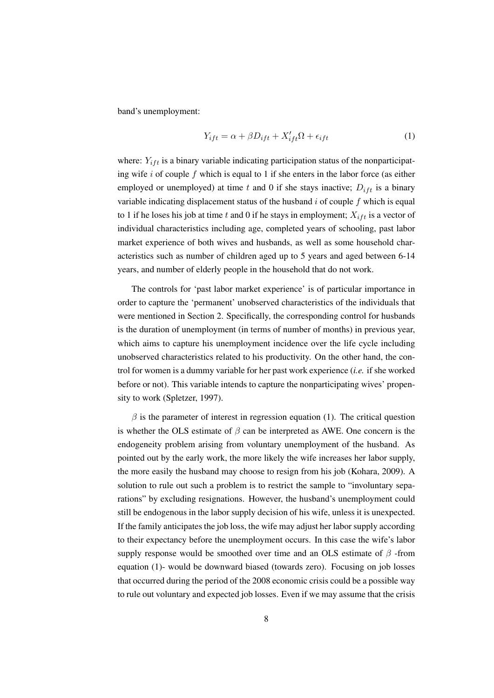band's unemployment:

$$
Y_{ift} = \alpha + \beta D_{ift} + X'_{ift}\Omega + \epsilon_{ift} \tag{1}
$$

where:  $Y_{ift}$  is a binary variable indicating participation status of the nonparticipating wife  $i$  of couple  $f$  which is equal to 1 if she enters in the labor force (as either employed or unemployed) at time t and 0 if she stays inactive;  $D_{ift}$  is a binary variable indicating displacement status of the husband  $i$  of couple  $f$  which is equal to 1 if he loses his job at time t and 0 if he stays in employment;  $X_{i, t}$  is a vector of individual characteristics including age, completed years of schooling, past labor market experience of both wives and husbands, as well as some household characteristics such as number of children aged up to 5 years and aged between 6-14 years, and number of elderly people in the household that do not work.

The controls for 'past labor market experience' is of particular importance in order to capture the 'permanent' unobserved characteristics of the individuals that were mentioned in Section 2. Specifically, the corresponding control for husbands is the duration of unemployment (in terms of number of months) in previous year, which aims to capture his unemployment incidence over the life cycle including unobserved characteristics related to his productivity. On the other hand, the control for women is a dummy variable for her past work experience (*i.e.* if she worked before or not). This variable intends to capture the nonparticipating wives' propensity to work (Spletzer, 1997).

 $\beta$  is the parameter of interest in regression equation (1). The critical question is whether the OLS estimate of  $\beta$  can be interpreted as AWE. One concern is the endogeneity problem arising from voluntary unemployment of the husband. As pointed out by the early work, the more likely the wife increases her labor supply, the more easily the husband may choose to resign from his job (Kohara, 2009). A solution to rule out such a problem is to restrict the sample to "involuntary separations" by excluding resignations. However, the husband's unemployment could still be endogenous in the labor supply decision of his wife, unless it is unexpected. If the family anticipates the job loss, the wife may adjust her labor supply according to their expectancy before the unemployment occurs. In this case the wife's labor supply response would be smoothed over time and an OLS estimate of  $\beta$  -from equation (1)- would be downward biased (towards zero). Focusing on job losses that occurred during the period of the 2008 economic crisis could be a possible way to rule out voluntary and expected job losses. Even if we may assume that the crisis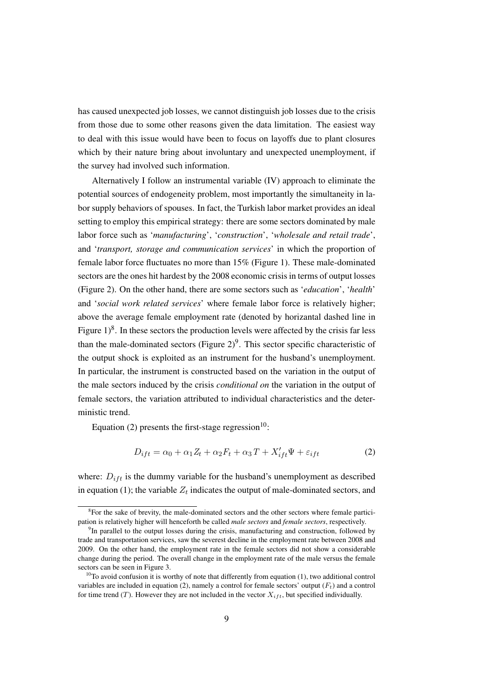has caused unexpected job losses, we cannot distinguish job losses due to the crisis from those due to some other reasons given the data limitation. The easiest way to deal with this issue would have been to focus on layoffs due to plant closures which by their nature bring about involuntary and unexpected unemployment, if the survey had involved such information.

Alternatively I follow an instrumental variable (IV) approach to eliminate the potential sources of endogeneity problem, most importantly the simultaneity in labor supply behaviors of spouses. In fact, the Turkish labor market provides an ideal setting to employ this empirical strategy: there are some sectors dominated by male labor force such as '*manufacturing*', '*construction*', '*wholesale and retail trade*', and '*transport, storage and communication services*' in which the proportion of female labor force fluctuates no more than 15% (Figure 1). These male-dominated sectors are the ones hit hardest by the 2008 economic crisis in terms of output losses (Figure 2). On the other hand, there are some sectors such as '*education*', '*health*' and '*social work related services*' where female labor force is relatively higher; above the average female employment rate (denoted by horizantal dashed line in Figure  $1)^8$ . In these sectors the production levels were affected by the crisis far less than the male-dominated sectors (Figure  $2)^9$ . This sector specific characteristic of the output shock is exploited as an instrument for the husband's unemployment. In particular, the instrument is constructed based on the variation in the output of the male sectors induced by the crisis *conditional on* the variation in the output of female sectors, the variation attributed to individual characteristics and the deterministic trend.

Equation (2) presents the first-stage regression $10$ :

$$
D_{ift} = \alpha_0 + \alpha_1 Z_t + \alpha_2 F_t + \alpha_3 T + X'_{ift} \Psi + \varepsilon_{ift}
$$
\n(2)

where:  $D_{ift}$  is the dummy variable for the husband's unemployment as described in equation (1); the variable  $Z_t$  indicates the output of male-dominated sectors, and

<sup>&</sup>lt;sup>8</sup>For the sake of brevity, the male-dominated sectors and the other sectors where female participation is relatively higher will henceforth be called *male sectors* and *female sectors*, respectively.

<sup>&</sup>lt;sup>9</sup>In parallel to the output losses during the crisis, manufacturing and construction, followed by trade and transportation services, saw the severest decline in the employment rate between 2008 and 2009. On the other hand, the employment rate in the female sectors did not show a considerable change during the period. The overall change in the employment rate of the male versus the female sectors can be seen in Figure 3.

 $10$ To avoid confusion it is worthy of note that differently from equation (1), two additional control variables are included in equation (2), namely a control for female sectors' output  $(F_t)$  and a control for time trend  $(T)$ . However they are not included in the vector  $X_{i,ft}$ , but specified individually.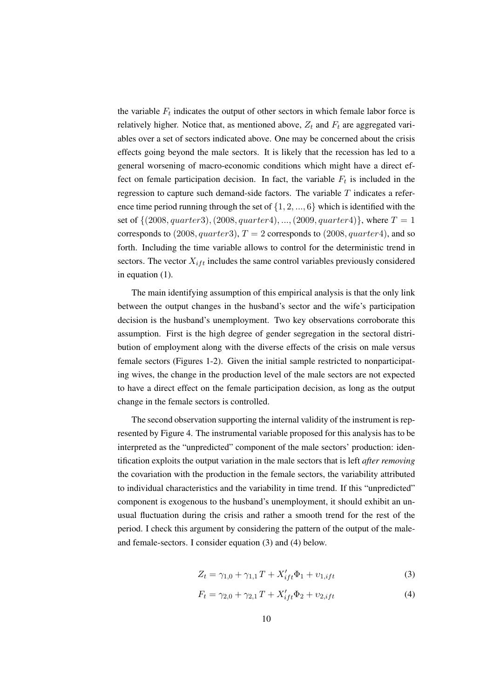the variable  $F_t$  indicates the output of other sectors in which female labor force is relatively higher. Notice that, as mentioned above,  $Z_t$  and  $F_t$  are aggregated variables over a set of sectors indicated above. One may be concerned about the crisis effects going beyond the male sectors. It is likely that the recession has led to a general worsening of macro-economic conditions which might have a direct effect on female participation decision. In fact, the variable  $F_t$  is included in the regression to capture such demand-side factors. The variable  $T$  indicates a reference time period running through the set of  $\{1, 2, ..., 6\}$  which is identified with the set of  $\{(2008, quarter3), (2008, quarter4), ..., (2009, quarter4)\}, where T = 1$ corresponds to  $(2008, quarter3), T = 2$  corresponds to  $(2008, quarter4),$  and so forth. Including the time variable allows to control for the deterministic trend in sectors. The vector  $X_{ift}$  includes the same control variables previously considered in equation (1).

The main identifying assumption of this empirical analysis is that the only link between the output changes in the husband's sector and the wife's participation decision is the husband's unemployment. Two key observations corroborate this assumption. First is the high degree of gender segregation in the sectoral distribution of employment along with the diverse effects of the crisis on male versus female sectors (Figures 1-2). Given the initial sample restricted to nonparticipating wives, the change in the production level of the male sectors are not expected to have a direct effect on the female participation decision, as long as the output change in the female sectors is controlled.

The second observation supporting the internal validity of the instrument is represented by Figure 4. The instrumental variable proposed for this analysis has to be interpreted as the "unpredicted" component of the male sectors' production: identification exploits the output variation in the male sectors that is left *after removing* the covariation with the production in the female sectors, the variability attributed to individual characteristics and the variability in time trend. If this "unpredicted" component is exogenous to the husband's unemployment, it should exhibit an unusual fluctuation during the crisis and rather a smooth trend for the rest of the period. I check this argument by considering the pattern of the output of the maleand female-sectors. I consider equation (3) and (4) below.

$$
Z_t = \gamma_{1,0} + \gamma_{1,1} T + X'_{ift} \Phi_1 + \upsilon_{1,ift}
$$
 (3)

$$
F_t = \gamma_{2,0} + \gamma_{2,1} T + X'_{ift} \Phi_2 + \upsilon_{2,ift}
$$
\n(4)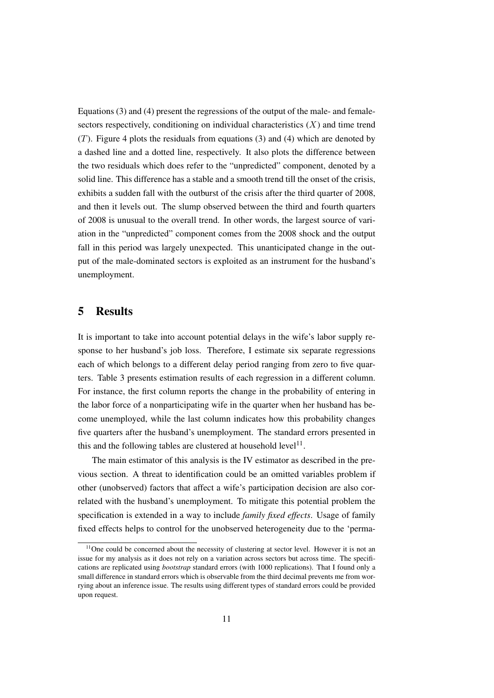Equations (3) and (4) present the regressions of the output of the male- and femalesectors respectively, conditioning on individual characteristics  $(X)$  and time trend  $(T)$ . Figure 4 plots the residuals from equations (3) and (4) which are denoted by a dashed line and a dotted line, respectively. It also plots the difference between the two residuals which does refer to the "unpredicted" component, denoted by a solid line. This difference has a stable and a smooth trend till the onset of the crisis, exhibits a sudden fall with the outburst of the crisis after the third quarter of 2008, and then it levels out. The slump observed between the third and fourth quarters of 2008 is unusual to the overall trend. In other words, the largest source of variation in the "unpredicted" component comes from the 2008 shock and the output fall in this period was largely unexpected. This unanticipated change in the output of the male-dominated sectors is exploited as an instrument for the husband's unemployment.

#### 5 Results

It is important to take into account potential delays in the wife's labor supply response to her husband's job loss. Therefore, I estimate six separate regressions each of which belongs to a different delay period ranging from zero to five quarters. Table 3 presents estimation results of each regression in a different column. For instance, the first column reports the change in the probability of entering in the labor force of a nonparticipating wife in the quarter when her husband has become unemployed, while the last column indicates how this probability changes five quarters after the husband's unemployment. The standard errors presented in this and the following tables are clustered at household  $level<sup>11</sup>$ .

The main estimator of this analysis is the IV estimator as described in the previous section. A threat to identification could be an omitted variables problem if other (unobserved) factors that affect a wife's participation decision are also correlated with the husband's unemployment. To mitigate this potential problem the specification is extended in a way to include *family fixed effects*. Usage of family fixed effects helps to control for the unobserved heterogeneity due to the 'perma-

 $11$ One could be concerned about the necessity of clustering at sector level. However it is not an issue for my analysis as it does not rely on a variation across sectors but across time. The specifications are replicated using *bootstrap* standard errors (with 1000 replications). That I found only a small difference in standard errors which is observable from the third decimal prevents me from worrying about an inference issue. The results using different types of standard errors could be provided upon request.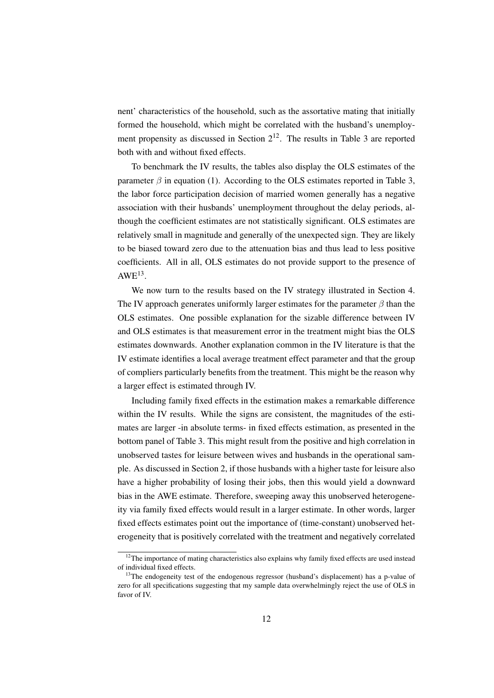nent' characteristics of the household, such as the assortative mating that initially formed the household, which might be correlated with the husband's unemployment propensity as discussed in Section  $2^{12}$ . The results in Table 3 are reported both with and without fixed effects.

To benchmark the IV results, the tables also display the OLS estimates of the parameter  $\beta$  in equation (1). According to the OLS estimates reported in Table 3, the labor force participation decision of married women generally has a negative association with their husbands' unemployment throughout the delay periods, although the coefficient estimates are not statistically significant. OLS estimates are relatively small in magnitude and generally of the unexpected sign. They are likely to be biased toward zero due to the attenuation bias and thus lead to less positive coefficients. All in all, OLS estimates do not provide support to the presence of  $AWE^{13}$ .

We now turn to the results based on the IV strategy illustrated in Section 4. The IV approach generates uniformly larger estimates for the parameter  $\beta$  than the OLS estimates. One possible explanation for the sizable difference between IV and OLS estimates is that measurement error in the treatment might bias the OLS estimates downwards. Another explanation common in the IV literature is that the IV estimate identifies a local average treatment effect parameter and that the group of compliers particularly benefits from the treatment. This might be the reason why a larger effect is estimated through IV.

Including family fixed effects in the estimation makes a remarkable difference within the IV results. While the signs are consistent, the magnitudes of the estimates are larger -in absolute terms- in fixed effects estimation, as presented in the bottom panel of Table 3. This might result from the positive and high correlation in unobserved tastes for leisure between wives and husbands in the operational sample. As discussed in Section 2, if those husbands with a higher taste for leisure also have a higher probability of losing their jobs, then this would yield a downward bias in the AWE estimate. Therefore, sweeping away this unobserved heterogeneity via family fixed effects would result in a larger estimate. In other words, larger fixed effects estimates point out the importance of (time-constant) unobserved heterogeneity that is positively correlated with the treatment and negatively correlated

<sup>&</sup>lt;sup>12</sup>The importance of mating characteristics also explains why family fixed effects are used instead of individual fixed effects.

<sup>&</sup>lt;sup>13</sup>The endogeneity test of the endogenous regressor (husband's displacement) has a p-value of zero for all specifications suggesting that my sample data overwhelmingly reject the use of OLS in favor of IV.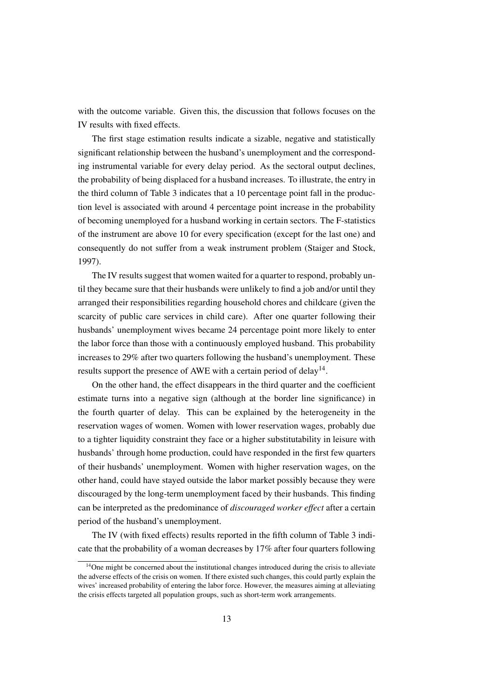with the outcome variable. Given this, the discussion that follows focuses on the IV results with fixed effects.

The first stage estimation results indicate a sizable, negative and statistically significant relationship between the husband's unemployment and the corresponding instrumental variable for every delay period. As the sectoral output declines, the probability of being displaced for a husband increases. To illustrate, the entry in the third column of Table 3 indicates that a 10 percentage point fall in the production level is associated with around 4 percentage point increase in the probability of becoming unemployed for a husband working in certain sectors. The F-statistics of the instrument are above 10 for every specification (except for the last one) and consequently do not suffer from a weak instrument problem (Staiger and Stock, 1997).

The IV results suggest that women waited for a quarter to respond, probably until they became sure that their husbands were unlikely to find a job and/or until they arranged their responsibilities regarding household chores and childcare (given the scarcity of public care services in child care). After one quarter following their husbands' unemployment wives became 24 percentage point more likely to enter the labor force than those with a continuously employed husband. This probability increases to 29% after two quarters following the husband's unemployment. These results support the presence of AWE with a certain period of delay<sup>14</sup>.

On the other hand, the effect disappears in the third quarter and the coefficient estimate turns into a negative sign (although at the border line significance) in the fourth quarter of delay. This can be explained by the heterogeneity in the reservation wages of women. Women with lower reservation wages, probably due to a tighter liquidity constraint they face or a higher substitutability in leisure with husbands' through home production, could have responded in the first few quarters of their husbands' unemployment. Women with higher reservation wages, on the other hand, could have stayed outside the labor market possibly because they were discouraged by the long-term unemployment faced by their husbands. This finding can be interpreted as the predominance of *discouraged worker effect* after a certain period of the husband's unemployment.

The IV (with fixed effects) results reported in the fifth column of Table 3 indicate that the probability of a woman decreases by 17% after four quarters following

<sup>&</sup>lt;sup>14</sup>One might be concerned about the institutional changes introduced during the crisis to alleviate the adverse effects of the crisis on women. If there existed such changes, this could partly explain the wives' increased probability of entering the labor force. However, the measures aiming at alleviating the crisis effects targeted all population groups, such as short-term work arrangements.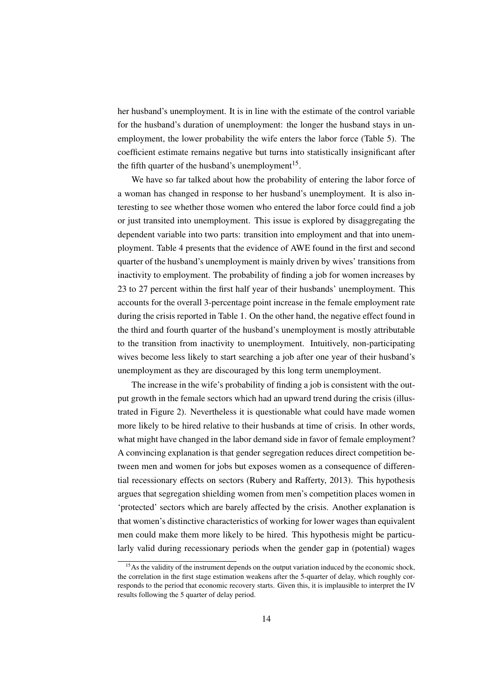her husband's unemployment. It is in line with the estimate of the control variable for the husband's duration of unemployment: the longer the husband stays in unemployment, the lower probability the wife enters the labor force (Table 5). The coefficient estimate remains negative but turns into statistically insignificant after the fifth quarter of the husband's unemployment<sup>15</sup>.

We have so far talked about how the probability of entering the labor force of a woman has changed in response to her husband's unemployment. It is also interesting to see whether those women who entered the labor force could find a job or just transited into unemployment. This issue is explored by disaggregating the dependent variable into two parts: transition into employment and that into unemployment. Table 4 presents that the evidence of AWE found in the first and second quarter of the husband's unemployment is mainly driven by wives' transitions from inactivity to employment. The probability of finding a job for women increases by 23 to 27 percent within the first half year of their husbands' unemployment. This accounts for the overall 3-percentage point increase in the female employment rate during the crisis reported in Table 1. On the other hand, the negative effect found in the third and fourth quarter of the husband's unemployment is mostly attributable to the transition from inactivity to unemployment. Intuitively, non-participating wives become less likely to start searching a job after one year of their husband's unemployment as they are discouraged by this long term unemployment.

The increase in the wife's probability of finding a job is consistent with the output growth in the female sectors which had an upward trend during the crisis (illustrated in Figure 2). Nevertheless it is questionable what could have made women more likely to be hired relative to their husbands at time of crisis. In other words, what might have changed in the labor demand side in favor of female employment? A convincing explanation is that gender segregation reduces direct competition between men and women for jobs but exposes women as a consequence of differential recessionary effects on sectors (Rubery and Rafferty, 2013). This hypothesis argues that segregation shielding women from men's competition places women in 'protected' sectors which are barely affected by the crisis. Another explanation is that women's distinctive characteristics of working for lower wages than equivalent men could make them more likely to be hired. This hypothesis might be particularly valid during recessionary periods when the gender gap in (potential) wages

<sup>&</sup>lt;sup>15</sup>As the validity of the instrument depends on the output variation induced by the economic shock, the correlation in the first stage estimation weakens after the 5-quarter of delay, which roughly corresponds to the period that economic recovery starts. Given this, it is implausible to interpret the IV results following the 5 quarter of delay period.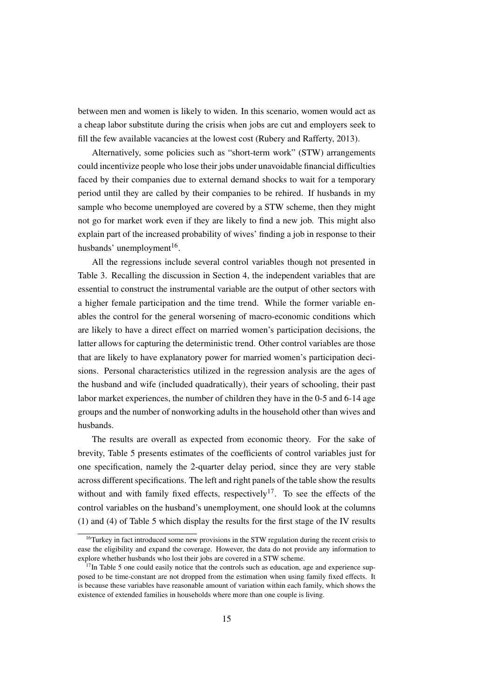between men and women is likely to widen. In this scenario, women would act as a cheap labor substitute during the crisis when jobs are cut and employers seek to fill the few available vacancies at the lowest cost (Rubery and Rafferty, 2013).

Alternatively, some policies such as "short-term work" (STW) arrangements could incentivize people who lose their jobs under unavoidable financial difficulties faced by their companies due to external demand shocks to wait for a temporary period until they are called by their companies to be rehired. If husbands in my sample who become unemployed are covered by a STW scheme, then they might not go for market work even if they are likely to find a new job. This might also explain part of the increased probability of wives' finding a job in response to their husbands' unemployment<sup>16</sup>.

All the regressions include several control variables though not presented in Table 3. Recalling the discussion in Section 4, the independent variables that are essential to construct the instrumental variable are the output of other sectors with a higher female participation and the time trend. While the former variable enables the control for the general worsening of macro-economic conditions which are likely to have a direct effect on married women's participation decisions, the latter allows for capturing the deterministic trend. Other control variables are those that are likely to have explanatory power for married women's participation decisions. Personal characteristics utilized in the regression analysis are the ages of the husband and wife (included quadratically), their years of schooling, their past labor market experiences, the number of children they have in the 0-5 and 6-14 age groups and the number of nonworking adults in the household other than wives and husbands.

The results are overall as expected from economic theory. For the sake of brevity, Table 5 presents estimates of the coefficients of control variables just for one specification, namely the 2-quarter delay period, since they are very stable across different specifications. The left and right panels of the table show the results without and with family fixed effects, respectively<sup>17</sup>. To see the effects of the control variables on the husband's unemployment, one should look at the columns (1) and (4) of Table 5 which display the results for the first stage of the IV results

 $16$ Turkey in fact introduced some new provisions in the STW regulation during the recent crisis to ease the eligibility and expand the coverage. However, the data do not provide any information to explore whether husbands who lost their jobs are covered in a STW scheme.

 $17$ In Table 5 one could easily notice that the controls such as education, age and experience supposed to be time-constant are not dropped from the estimation when using family fixed effects. It is because these variables have reasonable amount of variation within each family, which shows the existence of extended families in households where more than one couple is living.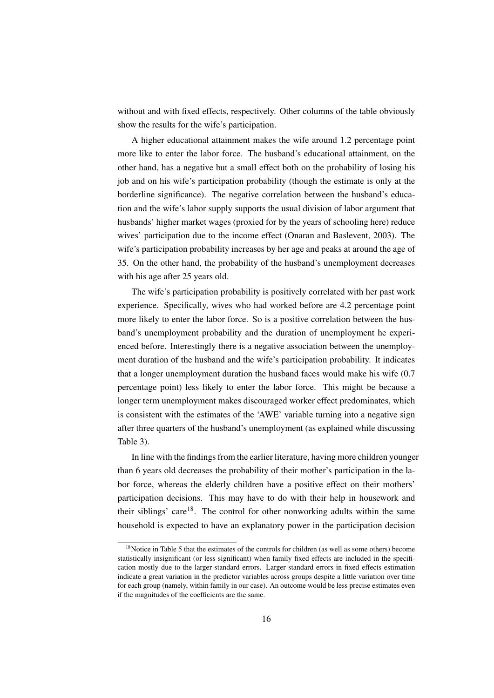without and with fixed effects, respectively. Other columns of the table obviously show the results for the wife's participation.

A higher educational attainment makes the wife around 1.2 percentage point more like to enter the labor force. The husband's educational attainment, on the other hand, has a negative but a small effect both on the probability of losing his job and on his wife's participation probability (though the estimate is only at the borderline significance). The negative correlation between the husband's education and the wife's labor supply supports the usual division of labor argument that husbands' higher market wages (proxied for by the years of schooling here) reduce wives' participation due to the income effect (Onaran and Baslevent, 2003). The wife's participation probability increases by her age and peaks at around the age of 35. On the other hand, the probability of the husband's unemployment decreases with his age after 25 years old.

The wife's participation probability is positively correlated with her past work experience. Specifically, wives who had worked before are 4.2 percentage point more likely to enter the labor force. So is a positive correlation between the husband's unemployment probability and the duration of unemployment he experienced before. Interestingly there is a negative association between the unemployment duration of the husband and the wife's participation probability. It indicates that a longer unemployment duration the husband faces would make his wife (0.7 percentage point) less likely to enter the labor force. This might be because a longer term unemployment makes discouraged worker effect predominates, which is consistent with the estimates of the 'AWE' variable turning into a negative sign after three quarters of the husband's unemployment (as explained while discussing Table 3).

In line with the findings from the earlier literature, having more children younger than 6 years old decreases the probability of their mother's participation in the labor force, whereas the elderly children have a positive effect on their mothers' participation decisions. This may have to do with their help in housework and their siblings' care<sup>18</sup>. The control for other nonworking adults within the same household is expected to have an explanatory power in the participation decision

<sup>&</sup>lt;sup>18</sup>Notice in Table 5 that the estimates of the controls for children (as well as some others) become statistically insignificant (or less significant) when family fixed effects are included in the specification mostly due to the larger standard errors. Larger standard errors in fixed effects estimation indicate a great variation in the predictor variables across groups despite a little variation over time for each group (namely, within family in our case). An outcome would be less precise estimates even if the magnitudes of the coefficients are the same.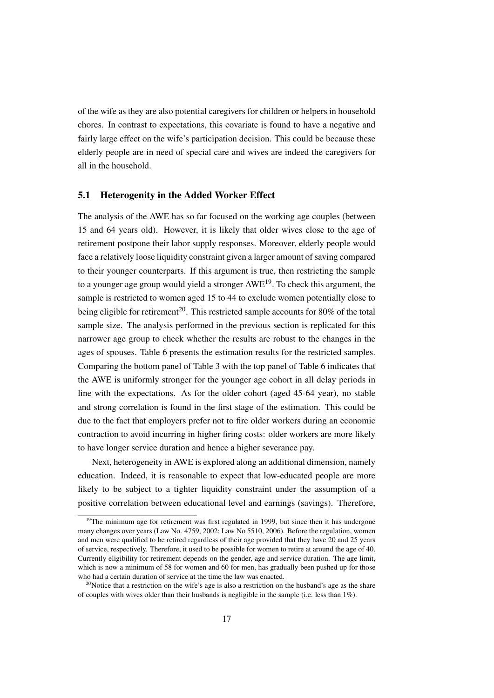of the wife as they are also potential caregivers for children or helpers in household chores. In contrast to expectations, this covariate is found to have a negative and fairly large effect on the wife's participation decision. This could be because these elderly people are in need of special care and wives are indeed the caregivers for all in the household.

#### 5.1 Heterogenity in the Added Worker Effect

The analysis of the AWE has so far focused on the working age couples (between 15 and 64 years old). However, it is likely that older wives close to the age of retirement postpone their labor supply responses. Moreover, elderly people would face a relatively loose liquidity constraint given a larger amount of saving compared to their younger counterparts. If this argument is true, then restricting the sample to a younger age group would yield a stronger  $AWE<sup>19</sup>$ . To check this argument, the sample is restricted to women aged 15 to 44 to exclude women potentially close to being eligible for retirement<sup>20</sup>. This restricted sample accounts for 80% of the total sample size. The analysis performed in the previous section is replicated for this narrower age group to check whether the results are robust to the changes in the ages of spouses. Table 6 presents the estimation results for the restricted samples. Comparing the bottom panel of Table 3 with the top panel of Table 6 indicates that the AWE is uniformly stronger for the younger age cohort in all delay periods in line with the expectations. As for the older cohort (aged 45-64 year), no stable and strong correlation is found in the first stage of the estimation. This could be due to the fact that employers prefer not to fire older workers during an economic contraction to avoid incurring in higher firing costs: older workers are more likely to have longer service duration and hence a higher severance pay.

Next, heterogeneity in AWE is explored along an additional dimension, namely education. Indeed, it is reasonable to expect that low-educated people are more likely to be subject to a tighter liquidity constraint under the assumption of a positive correlation between educational level and earnings (savings). Therefore,

<sup>&</sup>lt;sup>19</sup>The minimum age for retirement was first regulated in 1999, but since then it has undergone many changes over years (Law No. 4759, 2002; Law No 5510, 2006). Before the regulation, women and men were qualified to be retired regardless of their age provided that they have 20 and 25 years of service, respectively. Therefore, it used to be possible for women to retire at around the age of 40. Currently eligibility for retirement depends on the gender, age and service duration. The age limit, which is now a minimum of 58 for women and 60 for men, has gradually been pushed up for those who had a certain duration of service at the time the law was enacted.

 $20$ Notice that a restriction on the wife's age is also a restriction on the husband's age as the share of couples with wives older than their husbands is negligible in the sample (i.e. less than  $1\%$ ).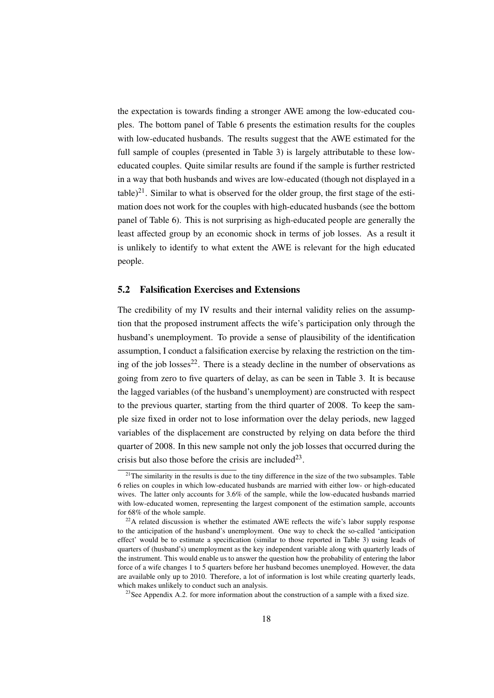the expectation is towards finding a stronger AWE among the low-educated couples. The bottom panel of Table 6 presents the estimation results for the couples with low-educated husbands. The results suggest that the AWE estimated for the full sample of couples (presented in Table 3) is largely attributable to these loweducated couples. Quite similar results are found if the sample is further restricted in a way that both husbands and wives are low-educated (though not displayed in a table) $^{21}$ . Similar to what is observed for the older group, the first stage of the estimation does not work for the couples with high-educated husbands (see the bottom panel of Table 6). This is not surprising as high-educated people are generally the least affected group by an economic shock in terms of job losses. As a result it is unlikely to identify to what extent the AWE is relevant for the high educated people.

#### 5.2 Falsification Exercises and Extensions

The credibility of my IV results and their internal validity relies on the assumption that the proposed instrument affects the wife's participation only through the husband's unemployment. To provide a sense of plausibility of the identification assumption, I conduct a falsification exercise by relaxing the restriction on the timing of the job losses $^{22}$ . There is a steady decline in the number of observations as going from zero to five quarters of delay, as can be seen in Table 3. It is because the lagged variables (of the husband's unemployment) are constructed with respect to the previous quarter, starting from the third quarter of 2008. To keep the sample size fixed in order not to lose information over the delay periods, new lagged variables of the displacement are constructed by relying on data before the third quarter of 2008. In this new sample not only the job losses that occurred during the crisis but also those before the crisis are included<sup>23</sup>.

 $21$ The similarity in the results is due to the tiny difference in the size of the two subsamples. Table 6 relies on couples in which low-educated husbands are married with either low- or high-educated wives. The latter only accounts for 3.6% of the sample, while the low-educated husbands married with low-educated women, representing the largest component of the estimation sample, accounts for 68% of the whole sample.

 $^{22}$ A related discussion is whether the estimated AWE reflects the wife's labor supply response to the anticipation of the husband's unemployment. One way to check the so-called 'anticipation effect' would be to estimate a specification (similar to those reported in Table 3) using leads of quarters of (husband's) unemployment as the key independent variable along with quarterly leads of the instrument. This would enable us to answer the question how the probability of entering the labor force of a wife changes 1 to 5 quarters before her husband becomes unemployed. However, the data are available only up to 2010. Therefore, a lot of information is lost while creating quarterly leads, which makes unlikely to conduct such an analysis.

<sup>&</sup>lt;sup>23</sup>See Appendix A.2. for more information about the construction of a sample with a fixed size.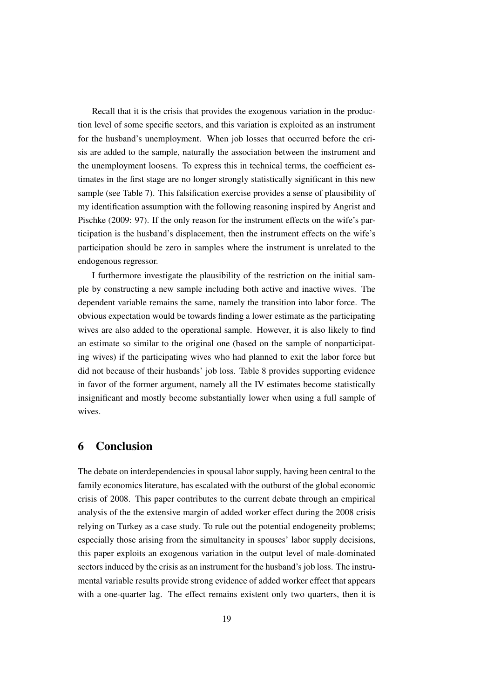Recall that it is the crisis that provides the exogenous variation in the production level of some specific sectors, and this variation is exploited as an instrument for the husband's unemployment. When job losses that occurred before the crisis are added to the sample, naturally the association between the instrument and the unemployment loosens. To express this in technical terms, the coefficient estimates in the first stage are no longer strongly statistically significant in this new sample (see Table 7). This falsification exercise provides a sense of plausibility of my identification assumption with the following reasoning inspired by Angrist and Pischke (2009: 97). If the only reason for the instrument effects on the wife's participation is the husband's displacement, then the instrument effects on the wife's participation should be zero in samples where the instrument is unrelated to the endogenous regressor.

I furthermore investigate the plausibility of the restriction on the initial sample by constructing a new sample including both active and inactive wives. The dependent variable remains the same, namely the transition into labor force. The obvious expectation would be towards finding a lower estimate as the participating wives are also added to the operational sample. However, it is also likely to find an estimate so similar to the original one (based on the sample of nonparticipating wives) if the participating wives who had planned to exit the labor force but did not because of their husbands' job loss. Table 8 provides supporting evidence in favor of the former argument, namely all the IV estimates become statistically insignificant and mostly become substantially lower when using a full sample of wives.

#### 6 Conclusion

The debate on interdependencies in spousal labor supply, having been central to the family economics literature, has escalated with the outburst of the global economic crisis of 2008. This paper contributes to the current debate through an empirical analysis of the the extensive margin of added worker effect during the 2008 crisis relying on Turkey as a case study. To rule out the potential endogeneity problems; especially those arising from the simultaneity in spouses' labor supply decisions, this paper exploits an exogenous variation in the output level of male-dominated sectors induced by the crisis as an instrument for the husband's job loss. The instrumental variable results provide strong evidence of added worker effect that appears with a one-quarter lag. The effect remains existent only two quarters, then it is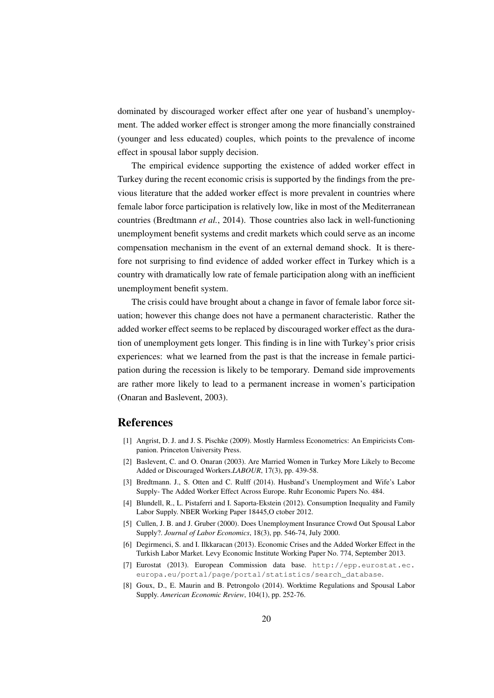dominated by discouraged worker effect after one year of husband's unemployment. The added worker effect is stronger among the more financially constrained (younger and less educated) couples, which points to the prevalence of income effect in spousal labor supply decision.

The empirical evidence supporting the existence of added worker effect in Turkey during the recent economic crisis is supported by the findings from the previous literature that the added worker effect is more prevalent in countries where female labor force participation is relatively low, like in most of the Mediterranean countries (Bredtmann *et al.*, 2014). Those countries also lack in well-functioning unemployment benefit systems and credit markets which could serve as an income compensation mechanism in the event of an external demand shock. It is therefore not surprising to find evidence of added worker effect in Turkey which is a country with dramatically low rate of female participation along with an inefficient unemployment benefit system.

The crisis could have brought about a change in favor of female labor force situation; however this change does not have a permanent characteristic. Rather the added worker effect seems to be replaced by discouraged worker effect as the duration of unemployment gets longer. This finding is in line with Turkey's prior crisis experiences: what we learned from the past is that the increase in female participation during the recession is likely to be temporary. Demand side improvements are rather more likely to lead to a permanent increase in women's participation (Onaran and Baslevent, 2003).

#### References

- [1] Angrist, D. J. and J. S. Pischke (2009). Mostly Harmless Econometrics: An Empiricists Companion. Princeton University Press.
- [2] Baslevent, C. and O. Onaran (2003). Are Married Women in Turkey More Likely to Become Added or Discouraged Workers.*LABOUR*, 17(3), pp. 439-58.
- [3] Bredtmann. J., S. Otten and C. Rulff (2014). Husband's Unemployment and Wife's Labor Supply- The Added Worker Effect Across Europe. Ruhr Economic Papers No. 484.
- [4] Blundell, R., L. Pistaferri and I. Saporta-Ekstein (2012). Consumption Inequality and Family Labor Supply. NBER Working Paper 18445,O ctober 2012.
- [5] Cullen, J. B. and J. Gruber (2000). Does Unemployment Insurance Crowd Out Spousal Labor Supply?. *Journal of Labor Economics*, 18(3), pp. 546-74, July 2000.
- [6] Degirmenci, S. and I. Ilkkaracan (2013). Economic Crises and the Added Worker Effect in the Turkish Labor Market. Levy Economic Institute Working Paper No. 774, September 2013.
- [7] Eurostat (2013). European Commission data base. http://epp.eurostat.ec. europa.eu/portal/page/portal/statistics/search\_database.
- [8] Goux, D., E. Maurin and B. Petrongolo (2014). Worktime Regulations and Spousal Labor Supply. *American Economic Review*, 104(1), pp. 252-76.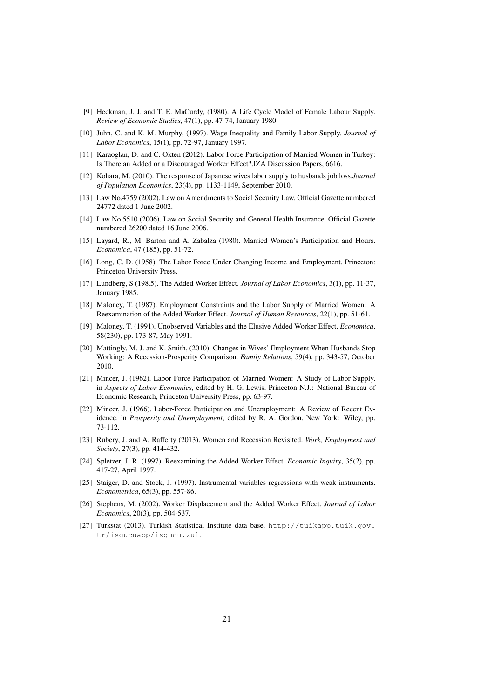- [9] Heckman, J. J. and T. E. MaCurdy, (1980). A Life Cycle Model of Female Labour Supply. *Review of Economic Studies*, 47(1), pp. 47-74, January 1980.
- [10] Juhn, C. and K. M. Murphy, (1997). Wage Inequality and Family Labor Supply. *Journal of Labor Economics*, 15(1), pp. 72-97, January 1997.
- [11] Karaoglan, D. and C. Okten (2012). Labor Force Participation of Married Women in Turkey: Is There an Added or a Discouraged Worker Effect?.IZA Discussion Papers, 6616.
- [12] Kohara, M. (2010). The response of Japanese wives labor supply to husbands job loss.*Journal of Population Economics*, 23(4), pp. 1133-1149, September 2010.
- [13] Law No.4759 (2002). Law on Amendments to Social Security Law. Official Gazette numbered 24772 dated 1 June 2002.
- [14] Law No.5510 (2006). Law on Social Security and General Health Insurance. Official Gazette numbered 26200 dated 16 June 2006.
- [15] Layard, R., M. Barton and A. Zabalza (1980). Married Women's Participation and Hours. *Economica*, 47 (185), pp. 51-72.
- [16] Long, C. D. (1958). The Labor Force Under Changing Income and Employment. Princeton: Princeton University Press.
- [17] Lundberg, S (198.5). The Added Worker Effect. *Journal of Labor Economics*, 3(1), pp. 11-37, January 1985.
- [18] Maloney, T. (1987). Employment Constraints and the Labor Supply of Married Women: A Reexamination of the Added Worker Effect. *Journal of Human Resources*, 22(1), pp. 51-61.
- [19] Maloney, T. (1991). Unobserved Variables and the Elusive Added Worker Effect. *Economica*, 58(230), pp. 173-87, May 1991.
- [20] Mattingly, M. J. and K. Smith, (2010). Changes in Wives' Employment When Husbands Stop Working: A Recession-Prosperity Comparison. *Family Relations*, 59(4), pp. 343-57, October 2010.
- [21] Mincer, J. (1962). Labor Force Participation of Married Women: A Study of Labor Supply. in *Aspects of Labor Economics*, edited by H. G. Lewis. Princeton N.J.: National Bureau of Economic Research, Princeton University Press, pp. 63-97.
- [22] Mincer, J. (1966). Labor-Force Participation and Unemployment: A Review of Recent Evidence. in *Prosperity and Unemployment*, edited by R. A. Gordon. New York: Wiley, pp. 73-112.
- [23] Rubery, J. and A. Rafferty (2013). Women and Recession Revisited. *Work, Employment and Society*, 27(3), pp. 414-432.
- [24] Spletzer, J. R. (1997). Reexamining the Added Worker Effect. *Economic Inquiry*, 35(2), pp. 417-27, April 1997.
- [25] Staiger, D. and Stock, J. (1997). Instrumental variables regressions with weak instruments. *Econometrica*, 65(3), pp. 557-86.
- [26] Stephens, M. (2002). Worker Displacement and the Added Worker Effect. *Journal of Labor Economics*, 20(3), pp. 504-537.
- [27] Turkstat (2013). Turkish Statistical Institute data base. http://tuikapp.tuik.gov. tr/isgucuapp/isgucu.zul.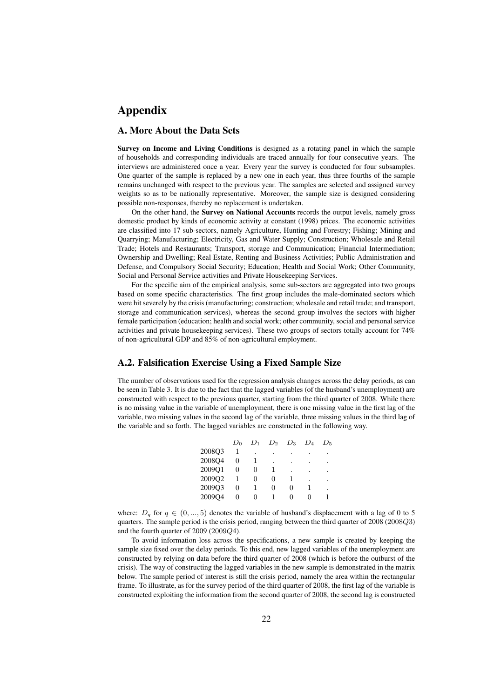## Appendix

#### A. More About the Data Sets

Survey on Income and Living Conditions is designed as a rotating panel in which the sample of households and corresponding individuals are traced annually for four consecutive years. The interviews are administered once a year. Every year the survey is conducted for four subsamples. One quarter of the sample is replaced by a new one in each year, thus three fourths of the sample remains unchanged with respect to the previous year. The samples are selected and assigned survey weights so as to be nationally representative. Moreover, the sample size is designed considering possible non-responses, thereby no replacement is undertaken.

On the other hand, the Survey on National Accounts records the output levels, namely gross domestic product by kinds of economic activity at constant (1998) prices. The economic activities are classified into 17 sub-sectors, namely Agriculture, Hunting and Forestry; Fishing; Mining and Quarrying; Manufacturing; Electricity, Gas and Water Supply; Construction; Wholesale and Retail Trade; Hotels and Restaurants; Transport, storage and Communication; Financial Intermediation; Ownership and Dwelling; Real Estate, Renting and Business Activities; Public Administration and Defense, and Compulsory Social Security; Education; Health and Social Work; Other Community, Social and Personal Service activities and Private Housekeeping Services.

For the specific aim of the empirical analysis, some sub-sectors are aggregated into two groups based on some specific characteristics. The first group includes the male-dominated sectors which were hit severely by the crisis (manufacturing; construction; wholesale and retail trade; and transport, storage and communication services), whereas the second group involves the sectors with higher female participation (education; health and social work; other community, social and personal service activities and private housekeeping services). These two groups of sectors totally account for 74% of non-agricultural GDP and 85% of non-agricultural employment.

#### A.2. Falsification Exercise Using a Fixed Sample Size

The number of observations used for the regression analysis changes across the delay periods, as can be seen in Table 3. It is due to the fact that the lagged variables (of the husband's unemployment) are constructed with respect to the previous quarter, starting from the third quarter of 2008. While there is no missing value in the variable of unemployment, there is one missing value in the first lag of the variable, two missing values in the second lag of the variable, three missing values in the third lag of the variable and so forth. The lagged variables are constructed in the following way.

|        | $D_0$ | $D_1$ | $D_2$ | $D_3$ | $D_4$ | $D_{\rm 5}$ |
|--------|-------|-------|-------|-------|-------|-------------|
| 2008Q3 |       |       |       |       |       |             |
| 2008Q4 |       |       |       |       |       |             |
| 2009Q1 | 0     |       |       |       | ٠     | ٠           |
| 2009Q2 |       |       |       |       |       |             |
| 2009Q3 | 0     |       | 0     | 0     |       | ٠           |
| 2009Q4 | 0     |       |       |       |       |             |

where:  $D_q$  for  $q \in (0, ..., 5)$  denotes the variable of husband's displacement with a lag of 0 to 5 quarters. The sample period is the crisis period, ranging between the third quarter of 2008 (2008Q3) and the fourth quarter of 2009 (2009Q4).

To avoid information loss across the specifications, a new sample is created by keeping the sample size fixed over the delay periods. To this end, new lagged variables of the unemployment are constructed by relying on data before the third quarter of 2008 (which is before the outburst of the crisis). The way of constructing the lagged variables in the new sample is demonstrated in the matrix below. The sample period of interest is still the crisis period, namely the area within the rectangular frame. To illustrate, as for the survey period of the third quarter of 2008, the first lag of the variable is constructed exploiting the information from the second quarter of 2008, the second lag is constructed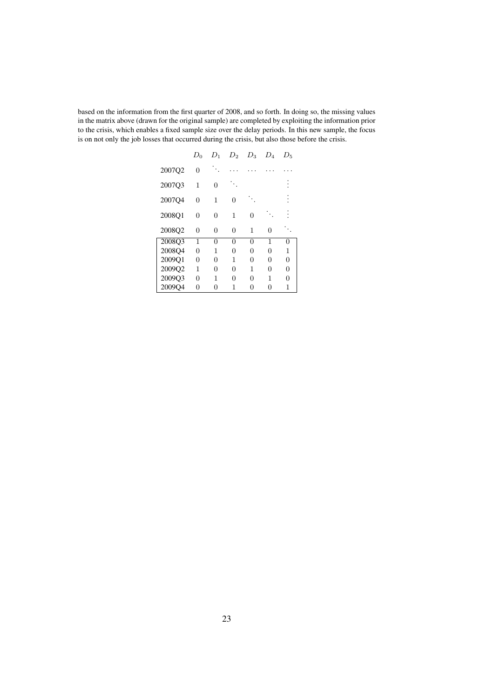based on the information from the first quarter of 2008, and so forth. In doing so, the missing values in the matrix above (drawn for the original sample) are completed by exploiting the information prior to the crisis, which enables a fixed sample size over the delay periods. In this new sample, the focus is on not only the job losses that occurred during the crisis, but also those before the crisis.

|        | $D_0$ | $D_1$    | $D_2$    | $D_3$ | $D_4$ | $D_5$ |
|--------|-------|----------|----------|-------|-------|-------|
| 2007Q2 | 0     |          |          |       |       |       |
| 2007Q3 | 1     | $\Omega$ |          |       |       |       |
| 2007Q4 | 0     | 1        | $\Omega$ |       |       |       |
| 2008Q1 | 0     | 0        | 1        | 0     |       |       |
| 2008Q2 | 0     | 0        | 0        | 1     | 0     |       |
| 2008Q3 | 1     | 0        | 0        | 0     | 1     | 0     |
| 2008Q4 | 0     | 1        | 0        | 0     | 0     | 1     |
| 2009Q1 | 0     | 0        | 1        | 0     | 0     | 0     |
| 2009Q2 | 1     | $\Omega$ | $\Omega$ | 1     | 0     | 0     |
| 2009Q3 | 0     | 1        | 0        | 0     | 1     | 0     |
| 2009Q4 | 0     | 0        | 1        | 0     | 0     | 1     |
|        |       |          |          |       |       |       |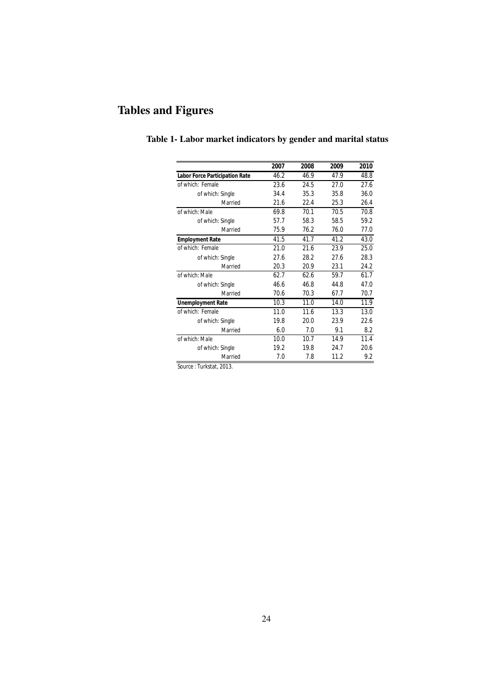# Tables and Figures

|                                       | 2007 | 2008 | 2009 | 2010 |
|---------------------------------------|------|------|------|------|
| <b>Labor Force Participation Rate</b> | 46.2 | 46.9 | 47.9 | 48.8 |
| of which: Female                      | 23.6 | 24.5 | 27.0 | 27.6 |
| of which: Single                      | 34.4 | 35.3 | 35.8 | 36.0 |
| Married                               | 21.6 | 22.4 | 25.3 | 26.4 |
| of which: Male                        | 69.8 | 70.1 | 70.5 | 70.8 |
| of which: Single                      | 57.7 | 58.3 | 58.5 | 59.2 |
| Married                               | 75.9 | 76.2 | 76.0 | 77.0 |
| <b>Employment Rate</b>                | 41.5 | 41.7 | 41.2 | 43.0 |
| of which: Female                      | 21.0 | 21.6 | 23.9 | 25.0 |
| of which: Single                      | 27.6 | 28.2 | 27.6 | 28.3 |
| Married                               | 20.3 | 20.9 | 23.1 | 24.2 |
| of which: Male                        | 62.7 | 62.6 | 59.7 | 61.7 |
| of which: Single                      | 46.6 | 46.8 | 44.8 | 47.0 |
| Married                               | 70.6 | 70.3 | 67.7 | 70.7 |
| <b>Unemployment Rate</b>              | 10.3 | 11.0 | 14.0 | 11.9 |
| of which: Female                      | 11.0 | 11.6 | 13.3 | 13.0 |
| of which: Single                      | 19.8 | 20.0 | 23.9 | 22.6 |
| Married                               | 6.0  | 7.0  | 9.1  | 8.2  |
| of which: Male                        | 10.0 | 10.7 | 14.9 | 11.4 |
| of which: Single                      | 19.2 | 19.8 | 24.7 | 20.6 |
| Married                               | 7.0  | 7.8  | 11.2 | 9.2  |

# Table 1- Labor market indicators by gender and marital status

*Source* : Turkstat, 2013.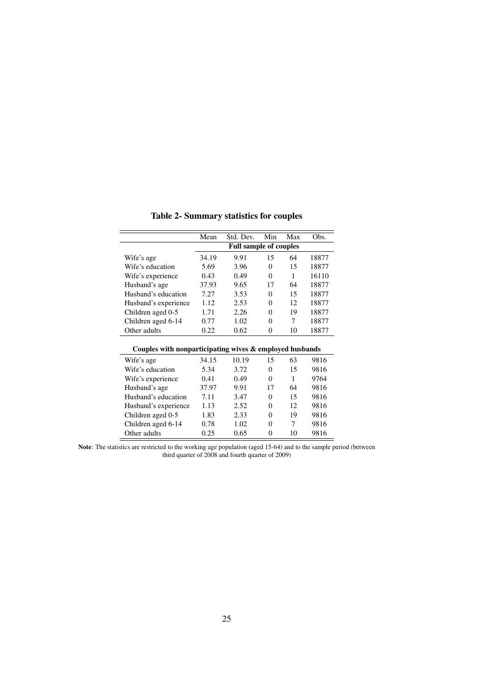Table 2- Summary statistics for couples

|                                                         | Mean  | Std. Dev.                     | Min      | Max | Obs.  |
|---------------------------------------------------------|-------|-------------------------------|----------|-----|-------|
|                                                         |       | <b>Full sample of couples</b> |          |     |       |
| Wife's age                                              | 34.19 | 9.91                          | 15       | 64  | 18877 |
| Wife's education                                        | 5.69  | 3.96                          | $\Omega$ | 15  | 18877 |
| Wife's experience                                       | 0.43  | 0.49                          | $\Omega$ | 1   | 16110 |
| Husband's age                                           | 37.93 | 9.65                          | 17       | 64  | 18877 |
| Husband's education                                     | 7.27  | 3.53                          | $\Omega$ | 15  | 18877 |
| Husband's experience                                    | 1.12  | 2.53                          | $\theta$ | 12  | 18877 |
| Children aged 0-5                                       | 1.71  | 2.26                          | $\Omega$ | 19  | 18877 |
| Children aged 6-14                                      | 0.77  | 1.02                          | $\Omega$ | 7   | 18877 |
| Other adults                                            | 0.22  | 0.62                          | $\Omega$ | 10  | 18877 |
|                                                         |       |                               |          |     |       |
| Couples with nonparticipating wives & employed husbands |       |                               |          |     |       |
| Wife's age                                              | 34.15 | 10.19                         | 15       | 63  | 9816  |
| Wife's education                                        | 5.34  | 3.72                          | $\theta$ | 15  | 9816  |
| Wife's experience                                       | 0.41  | 0.49                          | $\Omega$ | 1   | 9764  |
| Husband's age                                           | 37.97 | 9.91                          | 17       | 64  | 9816  |
| Husband's education                                     | 7.11  | 3.47                          | $\Omega$ | 15  | 9816  |
| Husband's experience                                    | 1.13  | 2.52                          | $\Omega$ | 12  | 9816  |
| Children aged 0-5                                       | 1.83  | 2.33                          | $\Omega$ | 19  | 9816  |
| Children aged 6-14                                      | 0.78  | 1.02                          | 0        | 7   | 9816  |
| Other adults                                            | 0.25  | 0.65                          | 0        | 10  | 9816  |

Note: The statistics are restricted to the working age population (aged 15-64) and to the sample period (between third quarter of 2008 and fourth quarter of 2009)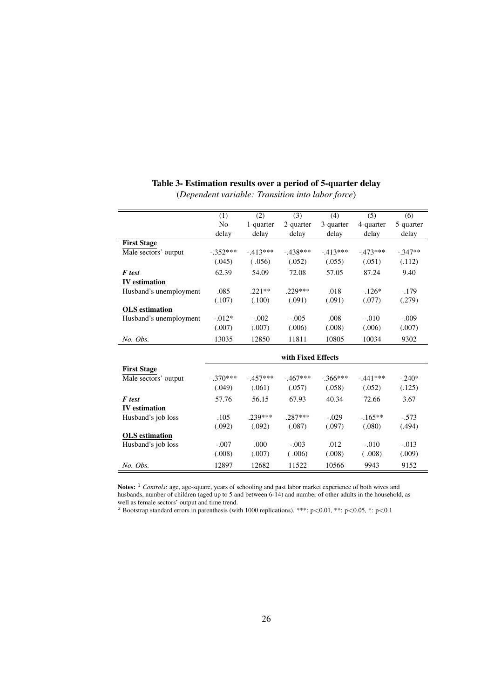|                        | (1)            | (2)       | (3)                | (4)         | (5)        | (6)       |
|------------------------|----------------|-----------|--------------------|-------------|------------|-----------|
|                        | N <sub>o</sub> | 1-quarter | 2-quarter          | 3-quarter   | 4-quarter  | 5-quarter |
|                        | delay          | delay     | delay              | delay       | delay      | delay     |
| <b>First Stage</b>     |                |           |                    |             |            |           |
| Male sectors' output   | $-.352***$     | $-413***$ | $-438***$          | $-413***$   | $-473***$  | $-.347**$ |
|                        | (.045)         | (.056)    | (.052)             | (.055)      | (.051)     | (.112)    |
| <b>F</b> test          | 62.39          | 54.09     | 72.08              | 57.05       | 87.24      | 9.40      |
| <b>IV</b> estimation   |                |           |                    |             |            |           |
| Husband's unemployment | .085           | $.221**$  | .229***            | .018        | $-.126*$   | $-.179$   |
|                        | (.107)         | (.100)    | (.091)             | (.091)      | (.077)     | (.279)    |
| <b>OLS</b> estimation  |                |           |                    |             |            |           |
| Husband's unemployment | $-0.012*$      | $-.002$   | $-.005$            | .008        | $-.010$    | $-.009$   |
|                        | (.007)         | (.007)    | (.006)             | (.008)      | (.006)     | (.007)    |
| No. Obs.               | 13035          | 12850     | 11811              | 10805       | 10034      | 9302      |
|                        |                |           |                    |             |            |           |
|                        |                |           | with Fixed Effects |             |            |           |
| <b>First Stage</b>     |                |           |                    |             |            |           |
| Male sectors' output   | $-.370***$     | $-457***$ | $-.467***$         | $-0.366***$ | $-.441***$ | $-.240*$  |
|                        | (.049)         | (.061)    | (.057)             | (.058)      | (.052)     | (.125)    |
| F test                 | 57.76          | 56.15     | 67.93              | 40.34       | 72.66      | 3.67      |
| <b>IV</b> estimation   |                |           |                    |             |            |           |
| Husband's job loss     | .105           | $.239***$ | $.287***$          | $-.029$     | $-.165**$  | $-.573$   |
|                        | (.092)         | (.092)    | (.087)             | (.097)      | (.080)     | (.494)    |
| <b>OLS</b> estimation  |                |           |                    |             |            |           |
| Husband's job loss     | $-.007$        | .000      | $-.003$            | .012        | $-.010$    | $-.013$   |
|                        | (.008)         | (.007)    | (.006)             | (.008)      | (.008)     | (.009)    |
| No. Obs.               | 12897          | 12682     | 11522              | 10566       | 9943       | 9152      |

# Table 3- Estimation results over a period of 5-quarter delay

(*Dependent variable: Transition into labor force*)

Notes: <sup>1</sup> *Controls*: age, age-square, years of schooling and past labor market experience of both wives and husbands, number of children (aged up to 5 and between 6-14) and number of other adults in the household, as well as female sectors' output and time trend.

<sup>2</sup> Bootstrap standard errors in parenthesis (with 1000 replications). \*\*\*:  $p<0.01$ , \*\*:  $p<0.05$ , \*:  $p<0.1$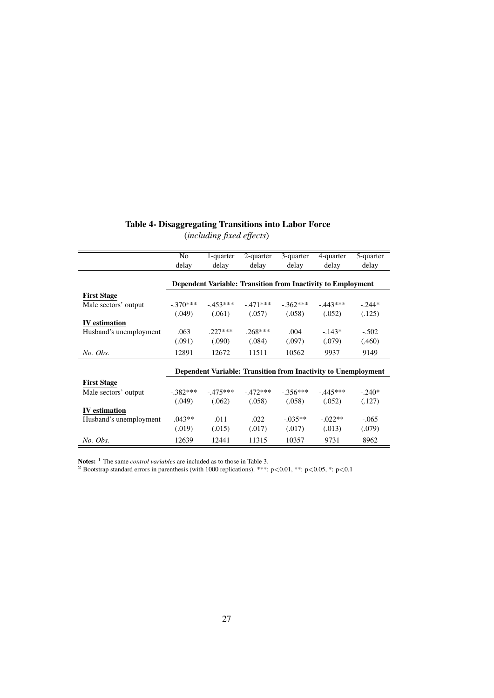### Table 4- Disaggregating Transitions into Labor Force

(*including fixed effects*) No 1-quarter 2-quarter 3-quarter 4-quarter 5-quarter

|                        | 1 N U                                                          | 1-yuarici | $2$ -yuarior | 9-yuarici  | +-yuarici                                                           | 9-yuariyi |  |  |  |
|------------------------|----------------------------------------------------------------|-----------|--------------|------------|---------------------------------------------------------------------|-----------|--|--|--|
|                        | delay                                                          | delay     | delay        | delay      | delay                                                               | delay     |  |  |  |
|                        |                                                                |           |              |            |                                                                     |           |  |  |  |
|                        |                                                                |           |              |            | <b>Dependent Variable: Transition from Inactivity to Employment</b> |           |  |  |  |
| <b>First Stage</b>     |                                                                |           |              |            |                                                                     |           |  |  |  |
| Male sectors' output   | $-.370***$                                                     | $-453***$ | $-.471***$   | $-.362***$ | $-443***$                                                           | $-.244*$  |  |  |  |
|                        | (.049)                                                         | (.061)    | (.057)       | (.058)     | (.052)                                                              | (.125)    |  |  |  |
| <b>IV</b> estimation   |                                                                |           |              |            |                                                                     |           |  |  |  |
| Husband's unemployment | .063                                                           | $.227***$ | $.268***$    | .004       | $-143*$                                                             | $-.502$   |  |  |  |
|                        | (.091)                                                         | (.090)    | (.084)       | (.097)     | (.079)                                                              | (.460)    |  |  |  |
| No. Obs.               | 12891                                                          | 12672     | 11511        | 10562      | 9937                                                                | 9149      |  |  |  |
|                        | Dependent Variable: Transition from Inactivity to Unemployment |           |              |            |                                                                     |           |  |  |  |
| <b>First Stage</b>     |                                                                |           |              |            |                                                                     |           |  |  |  |
| Male sectors' output   | $-.382***$                                                     | $-475***$ | $-.472***$   | $-.356***$ | $-0.445***$                                                         | $-.240*$  |  |  |  |
|                        | (.049)                                                         | (.062)    | (.058)       | (.058)     | (.052)                                                              | (.127)    |  |  |  |
| <b>IV</b> estimation   |                                                                |           |              |            |                                                                     |           |  |  |  |
| Husband's unemployment | $.043**$                                                       | .011      | .022         | $-.035**$  | $-0.022**$                                                          | $-.065$   |  |  |  |
|                        | (.019)                                                         | (.015)    | (.017)       | (.017)     | (.013)                                                              | (.079)    |  |  |  |
| No. Obs.               | 12639                                                          | 12441     | 11315        | 10357      | 9731                                                                | 8962      |  |  |  |

Notes: <sup>1</sup> The same *control variables* are included as to those in Table 3.

<sup>2</sup> Bootstrap standard errors in parenthesis (with 1000 replications). \*\*\*: p<0.01, \*\*: p<0.05, \*: p<0.1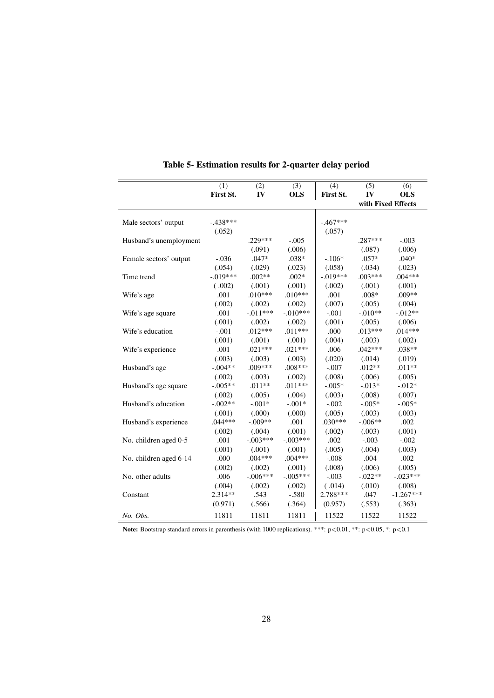|                        | (1)        | (2)        | (3)        | (4)        | (5)                | (6)         |
|------------------------|------------|------------|------------|------------|--------------------|-------------|
|                        | First St.  | IV         | <b>OLS</b> | First St.  | IV                 | <b>OLS</b>  |
|                        |            |            |            |            | with Fixed Effects |             |
|                        |            |            |            |            |                    |             |
| Male sectors' output   | $-.438***$ |            |            | $-.467***$ |                    |             |
|                        | (.052)     |            |            | (.057)     |                    |             |
| Husband's unemployment |            | $.229***$  | $-.005$    |            | .287***            | $-.003$     |
|                        |            | (.091)     | (.006)     |            | (.087)             | (.006)      |
| Female sectors' output | $-.036$    | $.047*$    | .038*      | $-.106*$   | $.057*$            | $.040*$     |
|                        | (.054)     | (.029)     | (.023)     | (.058)     | (.034)             | (.023)      |
| Time trend             | $-.019***$ | $.002**$   | $.002*$    | $-.019***$ | $.003***$          | $.004***$   |
|                        | (.002)     | (.001)     | (.001)     | (.002)     | (.001)             | (.001)      |
| Wife's age             | .001       | $.010***$  | $.010***$  | .001       | $.008*$            | $.009**$    |
|                        | (.002)     | (.002)     | (.002)     | (.007)     | (.005)             | (.004)      |
| Wife's age square      | .001       | $-.011***$ | $-.010***$ | $-.001$    | $-.010**$          | $-0.012**$  |
|                        | (.001)     | (.002)     | (.002)     | (.001)     | (.005)             | (.006)      |
| Wife's education       | $-.001$    | $.012***$  | $.011***$  | .000       | $.013***$          | $.014***$   |
|                        | (.001)     | (.001)     | (.001)     | (.004)     | (.003)             | (.002)      |
| Wife's experience      | .001       | $.021***$  | $.021***$  | .006       | $.042***$          | $.038**$    |
|                        | (.003)     | (.003)     | (.003)     | (.020)     | (.014)             | (.019)      |
| Husband's age          | $-.004**$  | .009***    | .008***    | $-.007$    | $.012**$           | $.011**$    |
|                        | (.002)     | (.003)     | (.002)     | (.008)     | (.006)             | (.005)      |
| Husband's age square   | $-.005**$  | $.011**$   | $.011***$  | $-.005*$   | $-0.013*$          | $-0.012*$   |
|                        | (.002)     | (.005)     | (.004)     | (.003)     | (.008)             | (.007)      |
| Husband's education    | $-.002**$  | $-.001*$   | $-.001*$   | $-.002$    | $-.005*$           | $-.005*$    |
|                        | (.001)     | (.000)     | (.000)     | (.005)     | (.003)             | (.003)      |
| Husband's experience   | $.044***$  | $-.009**$  | .001       | $.030***$  | $-.006**$          | .002        |
|                        | (.002)     | (.004)     | (.001)     | (.002)     | (.003)             | (.001)      |
| No. children aged 0-5  | .001       | $-.003***$ | $-.003***$ | .002       | $-.003$            | $-.002$     |
|                        | (.001)     | (.001)     | (.001)     | (.005)     | (.004)             | (.003)      |
| No. children aged 6-14 | .000       | $.004***$  | $.004***$  | $-.008$    | .004               | .002        |
|                        | (.002)     | (.002)     | (.001)     | (.008)     | (.006)             | (.005)      |
| No. other adults       | .006       | $-.006***$ | $-.005***$ | $-.003$    | $-.022**$          | $-.023***$  |
|                        | (.004)     | (.002)     | (.002)     | (.014)     | (.010)             | (.008)      |
| Constant               | $2.314**$  | .543       | $-.580$    | 2.788***   | .047               | $-1.267***$ |
|                        | (0.971)    | (.566)     | (.364)     | (0.957)    | (.553)             | (.363)      |
| No. Obs.               | 11811      | 11811      | 11811      | 11522      | 11522              | 11522       |

Table 5- Estimation results for 2-quarter delay period

Note: Bootstrap standard errors in parenthesis (with 1000 replications). \*\*\*: p<0.01, \*\*: p<0.05, \*: p<0.1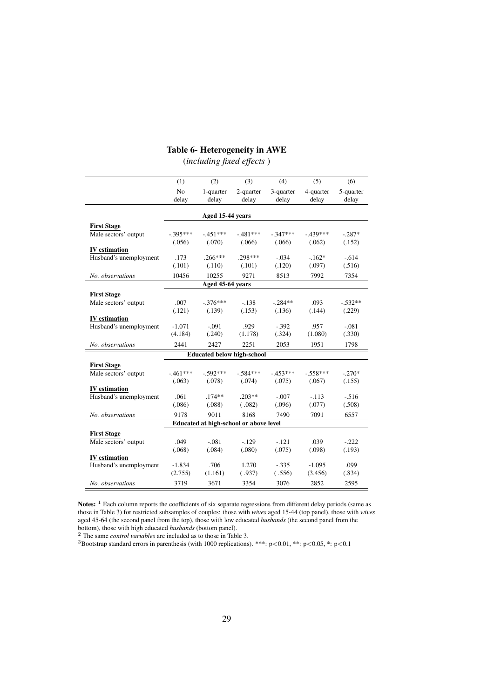#### Table 6- Heterogeneity in AWE

(*including fixed effects* )

|                        | (1)                     | (2)                | (3)                                    | (4)                | (5)                | (6)                |
|------------------------|-------------------------|--------------------|----------------------------------------|--------------------|--------------------|--------------------|
|                        | N <sub>o</sub><br>delay | 1-quarter<br>delay | 2-quarter<br>delay                     | 3-quarter<br>delay | 4-quarter<br>delay | 5-quarter<br>delay |
|                        |                         | Aged 15-44 years   |                                        |                    |                    |                    |
| <b>First Stage</b>     |                         |                    |                                        |                    |                    |                    |
| Male sectors' output   | $-.395***$              | $-451***$          | $-481***$                              | $-.347***$         | $-439***$          | $-.287*$           |
|                        | (.056)                  | (.070)             | (.066)                                 | (.066)             | (.062)             | (.152)             |
| <b>IV</b> estimation   |                         |                    |                                        |                    |                    |                    |
| Husband's unemployment | .173                    | $.266***$          | .298***                                | $-.034$            | $-.162*$           | $-.614$            |
|                        | (.101)                  | (.110)             | (.101)                                 | (.120)             | (.097)             | (.516)             |
| No. observations       | 10456                   | 10255              | 9271                                   | 8513               | 7992               | 7354               |
|                        |                         | Aged 45-64 years   |                                        |                    |                    |                    |
| <b>First Stage</b>     |                         |                    |                                        |                    |                    |                    |
| Male sectors' output   | .007                    | $-376***$          | $-138$                                 | $-.284**$          | .093               | $-.532**$          |
|                        | (.121)                  | (.139)             | (.153)                                 | (.136)             | (.144)             | (.229)             |
| <b>IV</b> estimation   |                         |                    |                                        |                    |                    |                    |
| Husband's unemployment | $-1.071$                | $-.091$            | .929                                   | $-.392$            | .957               | $-.081$            |
|                        | (4.184)                 | (.240)             | (1.178)                                | (.324)             | (1.080)            | (.330)             |
| No. observations       | 2441                    | 2427               | 2251                                   | 2053               | 1951               | 1798               |
|                        |                         |                    | <b>Educated below high-school</b>      |                    |                    |                    |
| <b>First Stage</b>     |                         |                    |                                        |                    |                    |                    |
| Male sectors' output   | $-461***$               | $-.592***$         | $-.584***$                             | $-.453***$         | $-.558***$         | $-.270*$           |
|                        | (.063)                  | (.078)             | (.074)                                 | (.075)             | (.067)             | (.155)             |
| <b>IV</b> estimation   |                         |                    |                                        |                    |                    |                    |
| Husband's unemployment | .061                    | $.174**$           | $.203**$                               | $-.007$            | $-.113$            | $-.516$            |
|                        | (.086)                  | (.088)             | (.082)                                 | (.096)             | (.077)             | (.508)             |
| No. observations       | 9178                    | 9011               | 8168                                   | 7490               | 7091               | 6557               |
|                        |                         |                    | Educated at high-school or above level |                    |                    |                    |
| <b>First Stage</b>     |                         |                    |                                        |                    |                    |                    |
| Male sectors' output   | .049                    | $-.081$            | $-.129$                                | $-.121$            | .039               | $-.222$            |
|                        | (.068)                  | (.084)             | (.080)                                 | (.075)             | (.098)             | (.193)             |
| <b>IV</b> estimation   |                         |                    |                                        |                    |                    |                    |
| Husband's unemployment | $-1.834$                | .706               | 1.270                                  | $-.335$            | $-1.095$           | .099               |
|                        | (2.755)                 | (1.161)            | (.937)                                 | (.556)             | (3.456)            | (.834)             |
| No. observations       | 3719                    | 3671               | 3354                                   | 3076               | 2852               | 2595               |

Notes: <sup>1</sup> Each column reports the coefficients of six separate regressions from different delay periods (same as those in Table 3) for restricted subsamples of couples: those with *wives* aged 15-44 (top panel), those with *wives* aged 45-64 (the second panel from the top), those with low educated *husbands* (the second panel from the bottom), those with high educated *husbands* (bottom panel).

<sup>2</sup> The same *control variables* are included as to those in Table 3.

<sup>3</sup>Bootstrap standard errors in parenthesis (with 1000 replications). \*\*\*:  $p<0.01$ , \*\*:  $p<0.05$ , \*:  $p<0.1$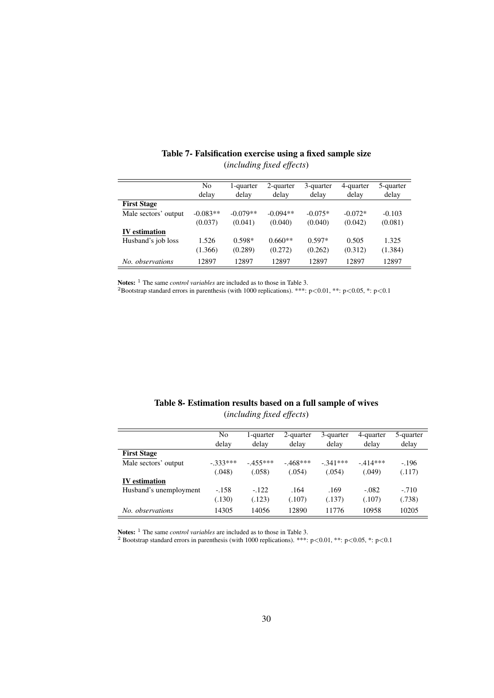|                      | No<br>delay | 1-quarter<br>delay | 2-quarter<br>delay | 3-quarter<br>delay | 4-quarter<br>delay | 5-quarter<br>delay |
|----------------------|-------------|--------------------|--------------------|--------------------|--------------------|--------------------|
| <b>First Stage</b>   |             |                    |                    |                    |                    |                    |
| Male sectors' output | $-0.083**$  | $-0.079**$         | $-0.094**$         | $-0.075*$          | $-0.072*$          | $-0.103$           |
|                      | (0.037)     | (0.041)            | (0.040)            | (0.040)            | (0.042)            | (0.081)            |
| <b>IV</b> estimation |             |                    |                    |                    |                    |                    |
| Husband's job loss   | 1.526       | $0.598*$           | $0.660**$          | $0.597*$           | 0.505              | 1.325              |
|                      | (1.366)     | (0.289)            | (0.272)            | (0.262)            | (0.312)            | (1.384)            |
| No. observations     | 12897       | 12897              | 12897              | 12897              | 12897              | 12897              |

#### Table 7- Falsification exercise using a fixed sample size (*including fixed effects*)

Notes: <sup>1</sup> The same *control variables* are included as to those in Table 3.

<sup>2</sup>Bootstrap standard errors in parenthesis (with 1000 replications). \*\*\*: p<0.01, \*\*: p<0.05, \*: p<0.1

| Table 8- Estimation results based on a full sample of wives |  |
|-------------------------------------------------------------|--|
| <i>(including fixed effects)</i>                            |  |

|                        | No<br>delay | 1-quarter<br>delay | 2-quarter<br>delay | 3-quarter<br>delay | 4-quarter<br>delay | 5-quarter<br>delay |
|------------------------|-------------|--------------------|--------------------|--------------------|--------------------|--------------------|
| <b>First Stage</b>     |             |                    |                    |                    |                    |                    |
| Male sectors' output   | $-.333***$  | $-455***$          | $-468***$          | $-.341***$         | $-414***$          | $-196$             |
|                        | (.048)      | (.058)             | (.054)             | (.054)             | (.049)             | (.117)             |
| <b>IV</b> estimation   |             |                    |                    |                    |                    |                    |
| Husband's unemployment | $-158$      | $-122$             | .164               | .169               | $-.082$            | $-.710$            |
|                        | (.130)      | (.123)             | (.107)             | (.137)             | (.107)             | (.738)             |
| No. observations       | 14305       | 14056              | 12890              | 11776              | 10958              | 10205              |

Notes: <sup>1</sup> The same *control variables* are included as to those in Table 3.

<sup>2</sup> Bootstrap standard errors in parenthesis (with 1000 replications). \*\*\*: p<0.01, \*\*: p<0.05, \*: p<0.1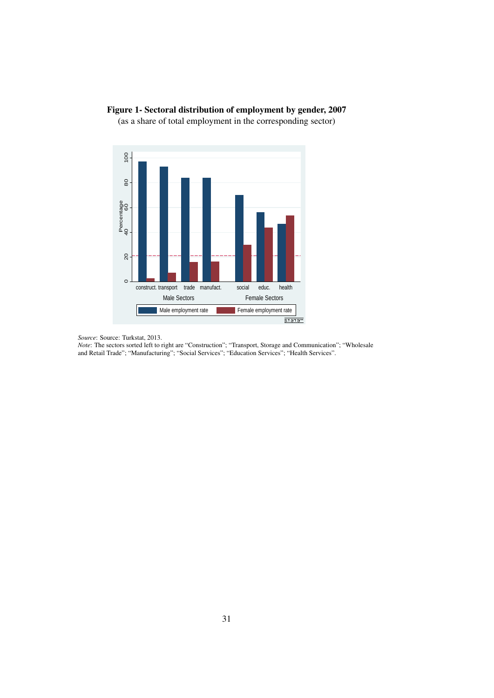

### Figure 1- Sectoral distribution of employment by gender, 2007

(as a share of total employment in the corresponding sector)

*Note*: The sectors sorted left to right are "Construction"; "Transport, Storage and Communication"; "Wholesale and Retail Trade"; "Manufacturing"; "Social Services"; "Education Services"; "Health Services".

*Source*: Source: Turkstat, 2013.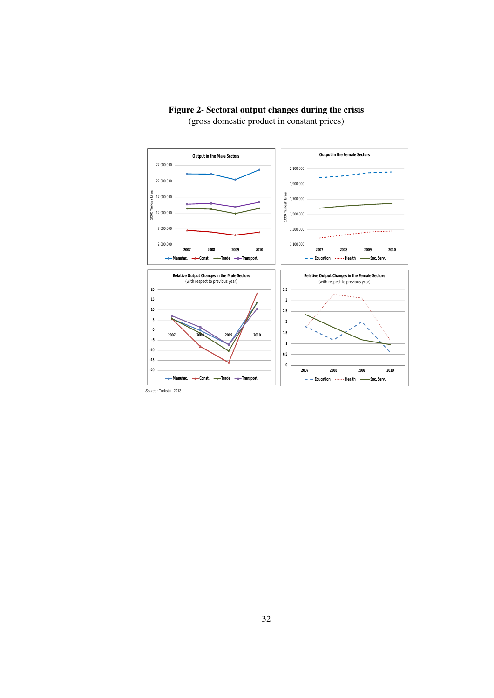

#### Figure 2- Sectoral output changes during the crisis (gross domestic product in constant prices)

*Source* : Turkstat, 2013.